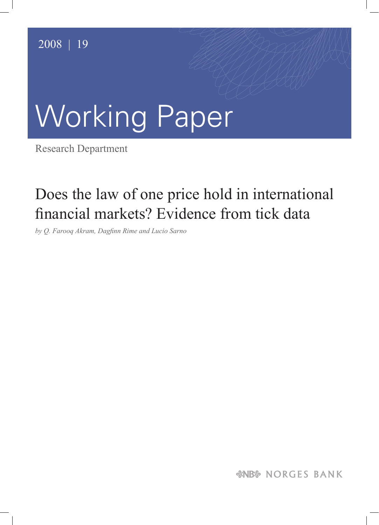# Working Paper

Research Department

# Does the law of one price hold in international financial markets? Evidence from tick data

*by Q. Farooq Akram, Dagfinn Rime and Lucio Sarno* 

*&NB& NORGES BANK*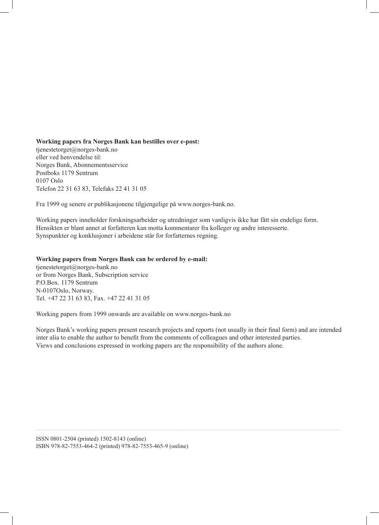# **Working papers fra Norges Bank kan bestilles over e-post:**

tjenestetorget@norges-bank.no eller ved henvendelse til: Norges Bank, Abonnementsservice Postboks 1179 Sentrum 0107 Oslo Telefon 22 31 63 83, Telefaks 22 41 31 05

Fra 1999 og senere er publikasjonene tilgjengelige på www.norges-bank.no.

Working papers inneholder forskningsarbeider og utredninger som vanligvis ikke har fått sin endelige form. Hensikten er blant annet at forfatteren kan motta kommentarer fra kolleger og andre interesserte. Synspunkter og konklusjoner i arbeidene står for forfatternes regning.

# **Working papers from Norges Bank can be ordered by e-mail:**

tjenestetorget@norges-bank.no or from Norges Bank, Subscription service P.O.Box. 1179 Sentrum N-0107Oslo, Norway. Tel. +47 22 31 63 83, Fax. +47 22 41 31 05

Working papers from 1999 onwards are available on www.norges-bank.no

Norges Bank's working papers present research projects and reports (not usually in their final form) and are intended inter alia to enable the author to benefit from the comments of colleagues and other interested parties. Views and conclusions expressed in working papers are the responsibility of the authors alone.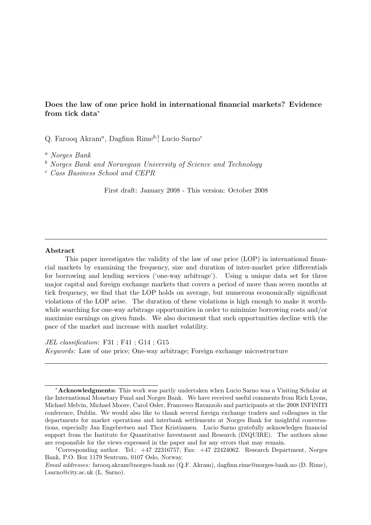# Does the law of one price hold in international financial markets? Evidence from tick data<sup>∗</sup>

Q. Farooq Akram<sup>a</sup>, Dagfinn Rime<sup>b,†</sup> Lucio Sarno<sup>c</sup>

<sup>c</sup> Cass Business School and CEPR

First draft: January 2008 - This version: October 2008

#### Abstract

This paper investigates the validity of the law of one price (LOP) in international financial markets by examining the frequency, size and duration of inter-market price differentials for borrowing and lending services ('one-way arbitrage'). Using a unique data set for three major capital and foreign exchange markets that covers a period of more than seven months at tick frequency, we find that the LOP holds on average, but numerous economically significant violations of the LOP arise. The duration of these violations is high enough to make it worthwhile searching for one-way arbitrage opportunities in order to minimize borrowing costs and/or maximize earnings on given funds. We also document that such opportunities decline with the pace of the market and increase with market volatility.

JEL classification: F31 ; F41 ; G14 ; G15 Keywords: Law of one price; One-way arbitrage; Foreign exchange microstructure

<sup>a</sup> Norges Bank

<sup>b</sup> Norges Bank and Norwegian University of Science and Technology

<sup>∗</sup>Acknowledgments: This work was partly undertaken when Lucio Sarno was a Visiting Scholar at the International Monetary Fund and Norges Bank. We have received useful comments from Rich Lyons, Michael Melvin, Michael Moore, Carol Osler, Francesco Ravazzolo and participants at the 2008 INFINITI conference, Dublin. We would also like to thank several foreign exchange traders and colleagues in the departments for market operations and interbank settlements at Norges Bank for insightful conversations, especially Jan Engebretsen and Thor Kristiansen. Lucio Sarno gratefully acknowledges financial support from the Institute for Quantitative Investment and Research (INQUIRE). The authors alone are responsible for the views expressed in the paper and for any errors that may remain.

<sup>†</sup>Corresponding author. Tel.: +47 22316757; Fax: +47 22424062. Research Department, Norges Bank, P.O. Box 1179 Sentrum, 0107 Oslo, Norway.

Email addresses: farooq.akram@norges-bank.no (Q.F. Akram), dagfinn.rime@norges-bank.no (D. Rime), l.sarno@city.ac.uk (L. Sarno).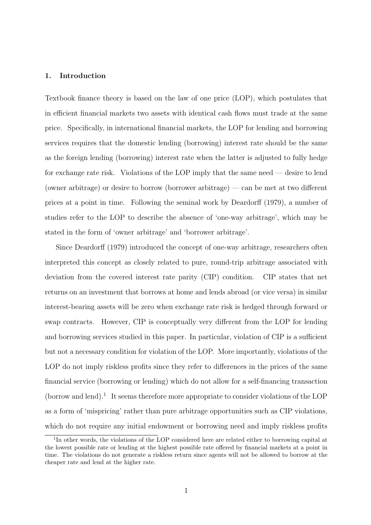#### 1. Introduction

Textbook finance theory is based on the law of one price (LOP), which postulates that in efficient financial markets two assets with identical cash flows must trade at the same price. Specifically, in international financial markets, the LOP for lending and borrowing services requires that the domestic lending (borrowing) interest rate should be the same as the foreign lending (borrowing) interest rate when the latter is adjusted to fully hedge for exchange rate risk. Violations of the LOP imply that the same need — desire to lend (owner arbitrage) or desire to borrow (borrower arbitrage) — can be met at two different prices at a point in time. Following the seminal work by Deardorff (1979), a number of studies refer to the LOP to describe the absence of 'one-way arbitrage', which may be stated in the form of 'owner arbitrage' and 'borrower arbitrage'.

Since Deardorff (1979) introduced the concept of one-way arbitrage, researchers often interpreted this concept as closely related to pure, round-trip arbitrage associated with deviation from the covered interest rate parity (CIP) condition. CIP states that net returns on an investment that borrows at home and lends abroad (or vice versa) in similar interest-bearing assets will be zero when exchange rate risk is hedged through forward or swap contracts. However, CIP is conceptually very different from the LOP for lending and borrowing services studied in this paper. In particular, violation of CIP is a sufficient but not a necessary condition for violation of the LOP. More importantly, violations of the LOP do not imply riskless profits since they refer to differences in the prices of the same financial service (borrowing or lending) which do not allow for a self-financing transaction (borrow and lend).<sup>1</sup> It seems therefore more appropriate to consider violations of the LOP as a form of 'mispricing' rather than pure arbitrage opportunities such as CIP violations, which do not require any initial endowment or borrowing need and imply riskless profits

<sup>&</sup>lt;sup>1</sup>In other words, the violations of the LOP considered here are related either to borrowing capital at the lowest possible rate or lending at the highest possible rate offered by financial markets at a point in time. The violations do not generate a riskless return since agents will not be allowed to borrow at the cheaper rate and lend at the higher rate.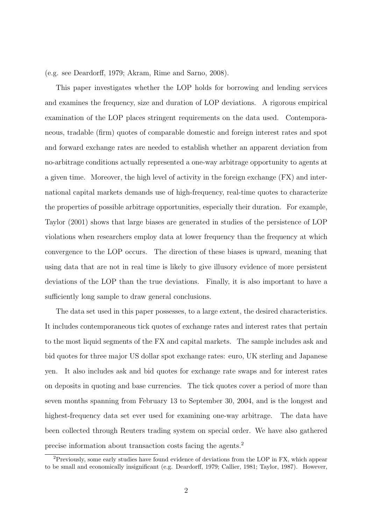(e.g. see Deardorff, 1979; Akram, Rime and Sarno, 2008).

This paper investigates whether the LOP holds for borrowing and lending services and examines the frequency, size and duration of LOP deviations. A rigorous empirical examination of the LOP places stringent requirements on the data used. Contemporaneous, tradable (firm) quotes of comparable domestic and foreign interest rates and spot and forward exchange rates are needed to establish whether an apparent deviation from no-arbitrage conditions actually represented a one-way arbitrage opportunity to agents at a given time. Moreover, the high level of activity in the foreign exchange (FX) and international capital markets demands use of high-frequency, real-time quotes to characterize the properties of possible arbitrage opportunities, especially their duration. For example, Taylor (2001) shows that large biases are generated in studies of the persistence of LOP violations when researchers employ data at lower frequency than the frequency at which convergence to the LOP occurs. The direction of these biases is upward, meaning that using data that are not in real time is likely to give illusory evidence of more persistent deviations of the LOP than the true deviations. Finally, it is also important to have a sufficiently long sample to draw general conclusions.

The data set used in this paper possesses, to a large extent, the desired characteristics. It includes contemporaneous tick quotes of exchange rates and interest rates that pertain to the most liquid segments of the FX and capital markets. The sample includes ask and bid quotes for three major US dollar spot exchange rates: euro, UK sterling and Japanese yen. It also includes ask and bid quotes for exchange rate swaps and for interest rates on deposits in quoting and base currencies. The tick quotes cover a period of more than seven months spanning from February 13 to September 30, 2004, and is the longest and highest-frequency data set ever used for examining one-way arbitrage. The data have been collected through Reuters trading system on special order. We have also gathered precise information about transaction costs facing the agents.<sup>2</sup>

<sup>&</sup>lt;sup>2</sup>Previously, some early studies have found evidence of deviations from the LOP in FX, which appear to be small and economically insignificant (e.g. Deardorff, 1979; Callier, 1981; Taylor, 1987). However,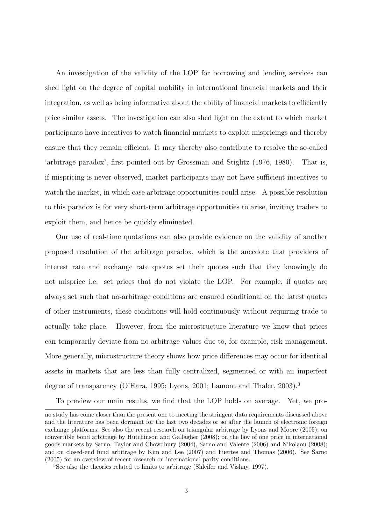An investigation of the validity of the LOP for borrowing and lending services can shed light on the degree of capital mobility in international financial markets and their integration, as well as being informative about the ability of financial markets to efficiently price similar assets. The investigation can also shed light on the extent to which market participants have incentives to watch financial markets to exploit mispricings and thereby ensure that they remain efficient. It may thereby also contribute to resolve the so-called 'arbitrage paradox', first pointed out by Grossman and Stiglitz (1976, 1980). That is, if mispricing is never observed, market participants may not have sufficient incentives to watch the market, in which case arbitrage opportunities could arise. A possible resolution to this paradox is for very short-term arbitrage opportunities to arise, inviting traders to exploit them, and hence be quickly eliminated.

Our use of real-time quotations can also provide evidence on the validity of another proposed resolution of the arbitrage paradox, which is the anecdote that providers of interest rate and exchange rate quotes set their quotes such that they knowingly do not misprice–i.e. set prices that do not violate the LOP. For example, if quotes are always set such that no-arbitrage conditions are ensured conditional on the latest quotes of other instruments, these conditions will hold continuously without requiring trade to actually take place. However, from the microstructure literature we know that prices can temporarily deviate from no-arbitrage values due to, for example, risk management. More generally, microstructure theory shows how price differences may occur for identical assets in markets that are less than fully centralized, segmented or with an imperfect degree of transparency (O'Hara, 1995; Lyons, 2001; Lamont and Thaler, 2003).<sup>3</sup>

To preview our main results, we find that the LOP holds on average. Yet, we pro-

no study has come closer than the present one to meeting the stringent data requirements discussed above and the literature has been dormant for the last two decades or so after the launch of electronic foreign exchange platforms. See also the recent research on triangular arbitrage by Lyons and Moore (2005); on convertible bond arbitrage by Hutchinson and Gallagher (2008); on the law of one price in international goods markets by Sarno, Taylor and Chowdhury (2004), Sarno and Valente (2006) and Nikolaou (2008); and on closed-end fund arbitrage by Kim and Lee (2007) and Fuertes and Thomas (2006). See Sarno (2005) for an overview of recent research on international parity conditions.

<sup>&</sup>lt;sup>3</sup>See also the theories related to limits to arbitrage (Shleifer and Vishny, 1997).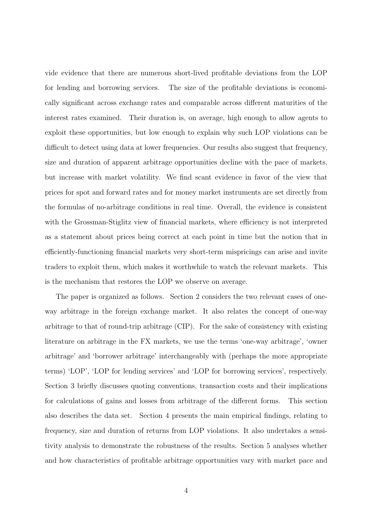vide evidence that there are numerous short-lived profitable deviations from the LOP for lending and borrowing services. The size of the profitable deviations is economically significant across exchange rates and comparable across different maturities of the interest rates examined. Their duration is, on average, high enough to allow agents to exploit these opportunities, but low enough to explain why such LOP violations can be difficult to detect using data at lower frequencies. Our results also suggest that frequency, size and duration of apparent arbitrage opportunities decline with the pace of markets, but increase with market volatility. We find scant evidence in favor of the view that prices for spot and forward rates and for money market instruments are set directly from the formulas of no-arbitrage conditions in real time. Overall, the evidence is consistent with the Grossman-Stiglitz view of financial markets, where efficiency is not interpreted as a statement about prices being correct at each point in time but the notion that in efficiently-functioning financial markets very short-term mispricings can arise and invite traders to exploit them, which makes it worthwhile to watch the relevant markets. This is the mechanism that restores the LOP we observe on average.

The paper is organized as follows. Section 2 considers the two relevant cases of oneway arbitrage in the foreign exchange market. It also relates the concept of one-way arbitrage to that of round-trip arbitrage (CIP). For the sake of consistency with existing literature on arbitrage in the FX markets, we use the terms 'one-way arbitrage', 'owner arbitrage' and 'borrower arbitrage' interchangeably with (perhaps the more appropriate terms) 'LOP', 'LOP for lending services' and 'LOP for borrowing services', respectively. Section 3 briefly discusses quoting conventions, transaction costs and their implications for calculations of gains and losses from arbitrage of the different forms. This section also describes the data set. Section 4 presents the main empirical findings, relating to frequency, size and duration of returns from LOP violations. It also undertakes a sensitivity analysis to demonstrate the robustness of the results. Section 5 analyses whether and how characteristics of profitable arbitrage opportunities vary with market pace and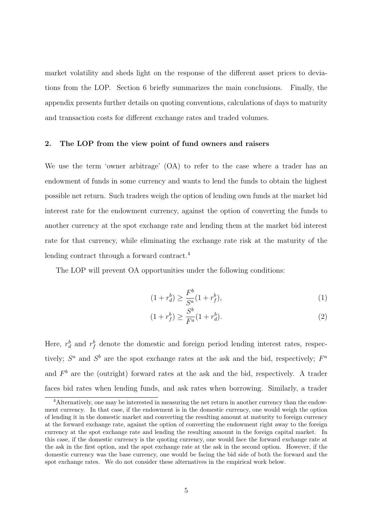market volatility and sheds light on the response of the different asset prices to deviations from the LOP. Section 6 briefly summarizes the main conclusions. Finally, the appendix presents further details on quoting conventions, calculations of days to maturity and transaction costs for different exchange rates and traded volumes.

#### 2. The LOP from the view point of fund owners and raisers

We use the term 'owner arbitrage' (OA) to refer to the case where a trader has an endowment of funds in some currency and wants to lend the funds to obtain the highest possible net return. Such traders weigh the option of lending own funds at the market bid interest rate for the endowment currency, against the option of converting the funds to another currency at the spot exchange rate and lending them at the market bid interest rate for that currency, while eliminating the exchange rate risk at the maturity of the lending contract through a forward contract.<sup>4</sup>

The LOP will prevent OA opportunities under the following conditions:

$$
(1 + r_d^b) \ge \frac{F^b}{S^a} (1 + r_f^b),\tag{1}
$$

$$
(1 + r_f^b) \ge \frac{S^b}{F^a} (1 + r_d^b).
$$
 (2)

Here,  $r_d^b$  and  $r_f^b$  denote the domestic and foreign period lending interest rates, respectively;  $S^a$  and  $S^b$  are the spot exchange rates at the ask and the bid, respectively;  $F^a$ and  $F<sup>b</sup>$  are the (outright) forward rates at the ask and the bid, respectively. A trader faces bid rates when lending funds, and ask rates when borrowing. Similarly, a trader

<sup>4</sup>Alternatively, one may be interested in measuring the net return in another currency than the endowment currency. In that case, if the endowment is in the domestic currency, one would weigh the option of lending it in the domestic market and converting the resulting amount at maturity to foreign currency at the forward exchange rate, against the option of converting the endowment right away to the foreign currency at the spot exchange rate and lending the resulting amount in the foreign capital market. In this case, if the domestic currency is the quoting currency, one would face the forward exchange rate at the ask in the first option, and the spot exchange rate at the ask in the second option. However, if the domestic currency was the base currency, one would be facing the bid side of both the forward and the spot exchange rates. We do not consider these alternatives in the empirical work below.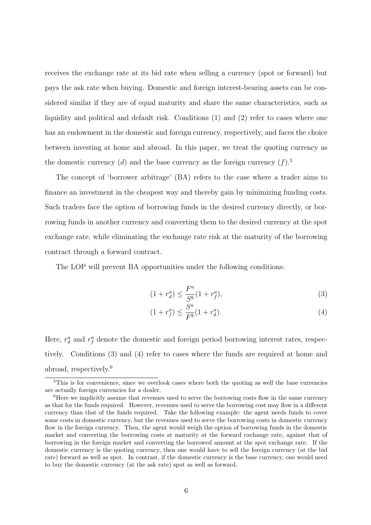receives the exchange rate at its bid rate when selling a currency (spot or forward) but pays the ask rate when buying. Domestic and foreign interest-bearing assets can be considered similar if they are of equal maturity and share the same characteristics, such as liquidity and political and default risk. Conditions (1) and (2) refer to cases where one has an endowment in the domestic and foreign currency, respectively, and faces the choice between investing at home and abroad. In this paper, we treat the quoting currency as the domestic currency (d) and the base currency as the foreign currency  $(f)$ .<sup>5</sup>

The concept of 'borrower arbitrage' (BA) refers to the case where a trader aims to finance an investment in the cheapest way and thereby gain by minimizing funding costs. Such traders face the option of borrowing funds in the desired currency directly, or borrowing funds in another currency and converting them to the desired currency at the spot exchange rate, while eliminating the exchange rate risk at the maturity of the borrowing contract through a forward contract.

The LOP will prevent BA opportunities under the following conditions:

$$
(1 + r_d^a) \le \frac{F^a}{S^b} (1 + r_f^a),\tag{3}
$$

$$
(1 + r_f^a) \le \frac{S^a}{F^b} (1 + r_d^a). \tag{4}
$$

Here,  $r_d^a$  and  $r_f^a$  denote the domestic and foreign period borrowing interest rates, respectively. Conditions (3) and (4) refer to cases where the funds are required at home and abroad, respectively.<sup>6</sup>

<sup>&</sup>lt;sup>5</sup>This is for convenience, since we overlook cases where both the quoting as well the base currencies are actually foreign currencies for a dealer.

<sup>&</sup>lt;sup>6</sup>Here we implicitly assume that revenues used to serve the borrowing costs flow in the same currency as that for the funds required. However, revenues used to serve the borrowing cost may flow in a different currency than that of the funds required. Take the following example: the agent needs funds to cover some costs in domestic currency, but the revenues used to serve the borrowing costs in domestic currency flow in the foreign currency. Then, the agent would weigh the option of borrowing funds in the domestic market and converting the borrowing costs at maturity at the forward exchange rate, against that of borrowing in the foreign market and converting the borrowed amount at the spot exchange rate. If the domestic currency is the quoting currency, then one would have to sell the foreign currency (at the bid rate) forward as well as spot. In contrast, if the domestic currency is the base currency, one would need to buy the domestic currency (at the ask rate) spot as well as forward.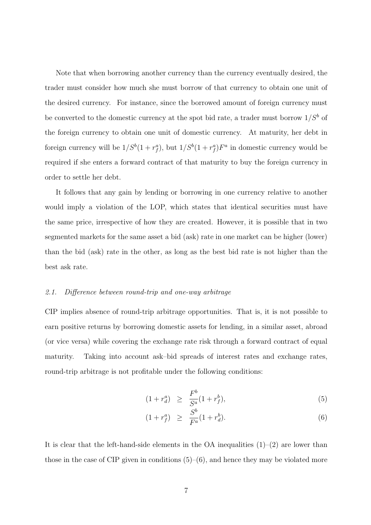Note that when borrowing another currency than the currency eventually desired, the trader must consider how much she must borrow of that currency to obtain one unit of the desired currency. For instance, since the borrowed amount of foreign currency must be converted to the domestic currency at the spot bid rate, a trader must borrow  $1/S^b$  of the foreign currency to obtain one unit of domestic currency. At maturity, her debt in foreign currency will be  $1/S^b(1+r_f^a)$ , but  $1/S^b(1+r_f^a)F^a$  in domestic currency would be required if she enters a forward contract of that maturity to buy the foreign currency in order to settle her debt.

It follows that any gain by lending or borrowing in one currency relative to another would imply a violation of the LOP, which states that identical securities must have the same price, irrespective of how they are created. However, it is possible that in two segmented markets for the same asset a bid (ask) rate in one market can be higher (lower) than the bid (ask) rate in the other, as long as the best bid rate is not higher than the best ask rate.

#### 2.1. Difference between round-trip and one-way arbitrage

CIP implies absence of round-trip arbitrage opportunities. That is, it is not possible to earn positive returns by borrowing domestic assets for lending, in a similar asset, abroad (or vice versa) while covering the exchange rate risk through a forward contract of equal maturity. Taking into account ask–bid spreads of interest rates and exchange rates, round-trip arbitrage is not profitable under the following conditions:

$$
(1 + r_d^a) \ge \frac{F^b}{S^a} (1 + r_f^b), \tag{5}
$$

$$
(1 + r_f^a) \ge \frac{S^b}{F^a} (1 + r_d^b). \tag{6}
$$

It is clear that the left-hand-side elements in the OA inequalities  $(1)$ – $(2)$  are lower than those in the case of CIP given in conditions  $(5)-(6)$ , and hence they may be violated more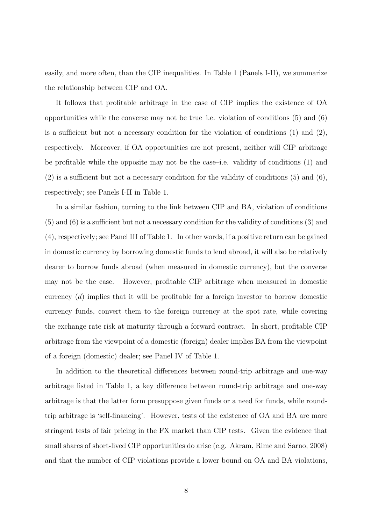easily, and more often, than the CIP inequalities. In Table 1 (Panels I-II), we summarize the relationship between CIP and OA.

It follows that profitable arbitrage in the case of CIP implies the existence of OA opportunities while the converse may not be true–i.e. violation of conditions (5) and (6) is a sufficient but not a necessary condition for the violation of conditions  $(1)$  and  $(2)$ , respectively. Moreover, if OA opportunities are not present, neither will CIP arbitrage be profitable while the opposite may not be the case–i.e. validity of conditions (1) and  $(2)$  is a sufficient but not a necessary condition for the validity of conditions  $(5)$  and  $(6)$ , respectively; see Panels I-II in Table 1.

In a similar fashion, turning to the link between CIP and BA, violation of conditions (5) and (6) is a sufficient but not a necessary condition for the validity of conditions (3) and (4), respectively; see Panel III of Table 1. In other words, if a positive return can be gained in domestic currency by borrowing domestic funds to lend abroad, it will also be relatively dearer to borrow funds abroad (when measured in domestic currency), but the converse may not be the case. However, profitable CIP arbitrage when measured in domestic currency (d) implies that it will be profitable for a foreign investor to borrow domestic currency funds, convert them to the foreign currency at the spot rate, while covering the exchange rate risk at maturity through a forward contract. In short, profitable CIP arbitrage from the viewpoint of a domestic (foreign) dealer implies BA from the viewpoint of a foreign (domestic) dealer; see Panel IV of Table 1.

In addition to the theoretical differences between round-trip arbitrage and one-way arbitrage listed in Table 1, a key difference between round-trip arbitrage and one-way arbitrage is that the latter form presuppose given funds or a need for funds, while roundtrip arbitrage is 'self-financing'. However, tests of the existence of OA and BA are more stringent tests of fair pricing in the FX market than CIP tests. Given the evidence that small shares of short-lived CIP opportunities do arise (e.g. Akram, Rime and Sarno, 2008) and that the number of CIP violations provide a lower bound on OA and BA violations,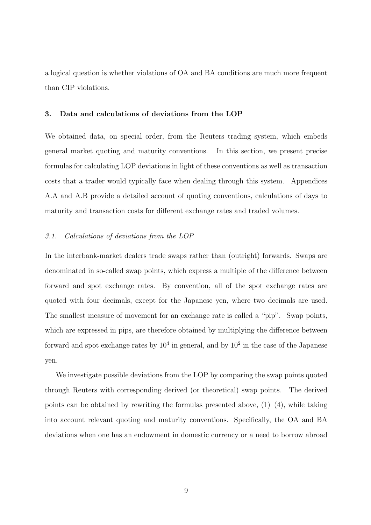a logical question is whether violations of OA and BA conditions are much more frequent than CIP violations.

#### 3. Data and calculations of deviations from the LOP

We obtained data, on special order, from the Reuters trading system, which embeds general market quoting and maturity conventions. In this section, we present precise formulas for calculating LOP deviations in light of these conventions as well as transaction costs that a trader would typically face when dealing through this system. Appendices A.A and A.B provide a detailed account of quoting conventions, calculations of days to maturity and transaction costs for different exchange rates and traded volumes.

## 3.1. Calculations of deviations from the LOP

In the interbank-market dealers trade swaps rather than (outright) forwards. Swaps are denominated in so-called swap points, which express a multiple of the difference between forward and spot exchange rates. By convention, all of the spot exchange rates are quoted with four decimals, except for the Japanese yen, where two decimals are used. The smallest measure of movement for an exchange rate is called a "pip". Swap points, which are expressed in pips, are therefore obtained by multiplying the difference between forward and spot exchange rates by  $10^4$  in general, and by  $10^2$  in the case of the Japanese yen.

We investigate possible deviations from the LOP by comparing the swap points quoted through Reuters with corresponding derived (or theoretical) swap points. The derived points can be obtained by rewriting the formulas presented above,  $(1)$ – $(4)$ , while taking into account relevant quoting and maturity conventions. Specifically, the OA and BA deviations when one has an endowment in domestic currency or a need to borrow abroad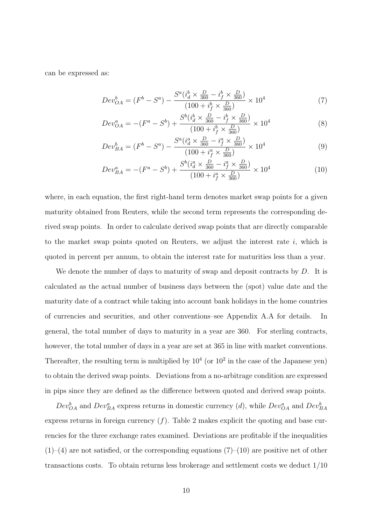can be expressed as:

$$
Dev_{OA}^{b} = (F^{b} - S^{a}) - \frac{S^{a} (i_{d}^{b} \times \frac{D}{360} - i_{f}^{b} \times \frac{D}{360})}{(100 + i_{f}^{b} \times \frac{D}{360})} \times 10^{4}
$$
 (7)

$$
Dev_{OA}^{a} = -(F^{a} - S^{b}) + \frac{S^{b} (i_{d}^{b} \times \frac{D}{360} - i_{f}^{b} \times \frac{D}{360})}{(100 + i_{f}^{b} \times \frac{D}{360})} \times 10^{4}
$$
(8)

$$
Dev_{BA}^{b} = (F^{b} - S^{a}) - \frac{S^{a} (i_{d}^{a} \times \frac{D}{360} - i_{f}^{a} \times \frac{D}{360})}{(100 + i_{f}^{a} \times \frac{D}{360})} \times 10^{4}
$$
\n(9)

$$
Dev_{BA}^{a} = -(F^{a} - S^{b}) + \frac{S^{b}(i_{d}^{a} \times \frac{D}{360} - i_{f}^{a} \times \frac{D}{360})}{(100 + i_{f}^{a} \times \frac{D}{360})} \times 10^{4}
$$
(10)

where, in each equation, the first right-hand term denotes market swap points for a given maturity obtained from Reuters, while the second term represents the corresponding derived swap points. In order to calculate derived swap points that are directly comparable to the market swap points quoted on Reuters, we adjust the interest rate  $i$ , which is quoted in percent per annum, to obtain the interest rate for maturities less than a year.

We denote the number of days to maturity of swap and deposit contracts by  $D$ . It is calculated as the actual number of business days between the (spot) value date and the maturity date of a contract while taking into account bank holidays in the home countries of currencies and securities, and other conventions–see Appendix A.A for details. In general, the total number of days to maturity in a year are 360. For sterling contracts, however, the total number of days in a year are set at 365 in line with market conventions. Thereafter, the resulting term is multiplied by  $10^4$  (or  $10^2$  in the case of the Japanese yen) to obtain the derived swap points. Deviations from a no-arbitrage condition are expressed in pips since they are defined as the difference between quoted and derived swap points.

 $Dev_{OA}^{b}$  and  $Dev_{BA}^{a}$  express returns in domestic currency (d), while  $Dev_{OA}^{a}$  and  $Dev_{BA}^{b}$ express returns in foreign currency  $(f)$ . Table 2 makes explicit the quoting and base currencies for the three exchange rates examined. Deviations are profitable if the inequalities  $(1)$ – $(4)$  are not satisfied, or the corresponding equations  $(7)$ – $(10)$  are positive net of other transactions costs. To obtain returns less brokerage and settlement costs we deduct 1/10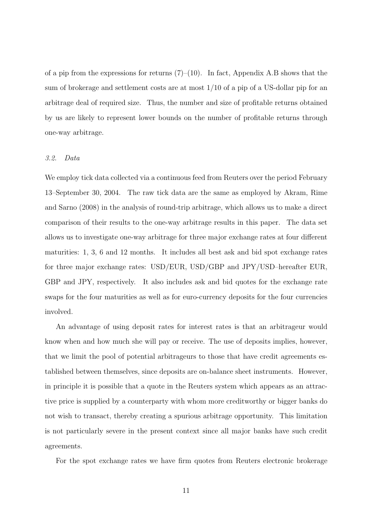of a pip from the expressions for returns  $(7)-(10)$ . In fact, Appendix A.B shows that the sum of brokerage and settlement costs are at most 1/10 of a pip of a US-dollar pip for an arbitrage deal of required size. Thus, the number and size of profitable returns obtained by us are likely to represent lower bounds on the number of profitable returns through one-way arbitrage.

#### 3.2. Data

We employ tick data collected via a continuous feed from Reuters over the period February 13–September 30, 2004. The raw tick data are the same as employed by Akram, Rime and Sarno (2008) in the analysis of round-trip arbitrage, which allows us to make a direct comparison of their results to the one-way arbitrage results in this paper. The data set allows us to investigate one-way arbitrage for three major exchange rates at four different maturities: 1, 3, 6 and 12 months. It includes all best ask and bid spot exchange rates for three major exchange rates: USD/EUR, USD/GBP and JPY/USD–hereafter EUR, GBP and JPY, respectively. It also includes ask and bid quotes for the exchange rate swaps for the four maturities as well as for euro-currency deposits for the four currencies involved.

An advantage of using deposit rates for interest rates is that an arbitrageur would know when and how much she will pay or receive. The use of deposits implies, however, that we limit the pool of potential arbitrageurs to those that have credit agreements established between themselves, since deposits are on-balance sheet instruments. However, in principle it is possible that a quote in the Reuters system which appears as an attractive price is supplied by a counterparty with whom more creditworthy or bigger banks do not wish to transact, thereby creating a spurious arbitrage opportunity. This limitation is not particularly severe in the present context since all major banks have such credit agreements.

For the spot exchange rates we have firm quotes from Reuters electronic brokerage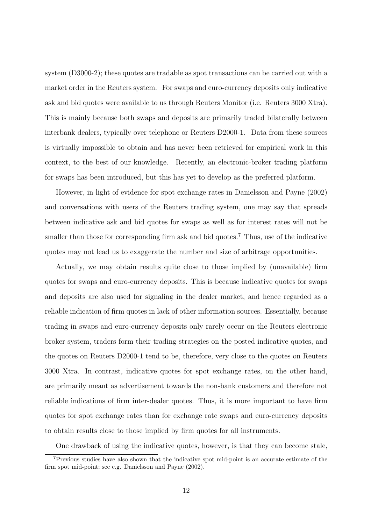system (D3000-2); these quotes are tradable as spot transactions can be carried out with a market order in the Reuters system. For swaps and euro-currency deposits only indicative ask and bid quotes were available to us through Reuters Monitor (i.e. Reuters 3000 Xtra). This is mainly because both swaps and deposits are primarily traded bilaterally between interbank dealers, typically over telephone or Reuters D2000-1. Data from these sources is virtually impossible to obtain and has never been retrieved for empirical work in this context, to the best of our knowledge. Recently, an electronic-broker trading platform for swaps has been introduced, but this has yet to develop as the preferred platform.

However, in light of evidence for spot exchange rates in Danielsson and Payne (2002) and conversations with users of the Reuters trading system, one may say that spreads between indicative ask and bid quotes for swaps as well as for interest rates will not be smaller than those for corresponding firm ask and bid quotes.<sup>7</sup> Thus, use of the indicative quotes may not lead us to exaggerate the number and size of arbitrage opportunities.

Actually, we may obtain results quite close to those implied by (unavailable) firm quotes for swaps and euro-currency deposits. This is because indicative quotes for swaps and deposits are also used for signaling in the dealer market, and hence regarded as a reliable indication of firm quotes in lack of other information sources. Essentially, because trading in swaps and euro-currency deposits only rarely occur on the Reuters electronic broker system, traders form their trading strategies on the posted indicative quotes, and the quotes on Reuters D2000-1 tend to be, therefore, very close to the quotes on Reuters 3000 Xtra. In contrast, indicative quotes for spot exchange rates, on the other hand, are primarily meant as advertisement towards the non-bank customers and therefore not reliable indications of firm inter-dealer quotes. Thus, it is more important to have firm quotes for spot exchange rates than for exchange rate swaps and euro-currency deposits to obtain results close to those implied by firm quotes for all instruments.

One drawback of using the indicative quotes, however, is that they can become stale,

<sup>7</sup>Previous studies have also shown that the indicative spot mid-point is an accurate estimate of the firm spot mid-point; see e.g. Danielsson and Payne (2002).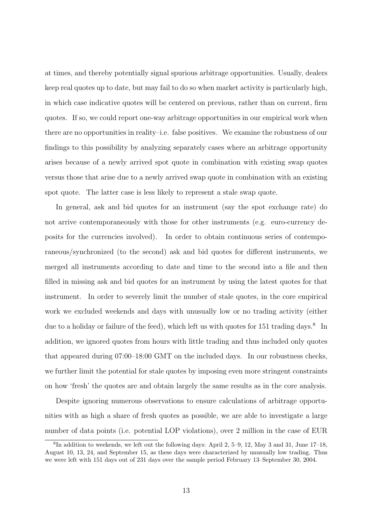at times, and thereby potentially signal spurious arbitrage opportunities. Usually, dealers keep real quotes up to date, but may fail to do so when market activity is particularly high, in which case indicative quotes will be centered on previous, rather than on current, firm quotes. If so, we could report one-way arbitrage opportunities in our empirical work when there are no opportunities in reality–i.e. false positives. We examine the robustness of our findings to this possibility by analyzing separately cases where an arbitrage opportunity arises because of a newly arrived spot quote in combination with existing swap quotes versus those that arise due to a newly arrived swap quote in combination with an existing spot quote. The latter case is less likely to represent a stale swap quote.

In general, ask and bid quotes for an instrument (say the spot exchange rate) do not arrive contemporaneously with those for other instruments (e.g. euro-currency deposits for the currencies involved). In order to obtain continuous series of contemporaneous/synchronized (to the second) ask and bid quotes for different instruments, we merged all instruments according to date and time to the second into a file and then filled in missing ask and bid quotes for an instrument by using the latest quotes for that instrument. In order to severely limit the number of stale quotes, in the core empirical work we excluded weekends and days with unusually low or no trading activity (either due to a holiday or failure of the feed), which left us with quotes for 151 trading days.<sup>8</sup> In addition, we ignored quotes from hours with little trading and thus included only quotes that appeared during 07:00–18:00 GMT on the included days. In our robustness checks, we further limit the potential for stale quotes by imposing even more stringent constraints on how 'fresh' the quotes are and obtain largely the same results as in the core analysis.

Despite ignoring numerous observations to ensure calculations of arbitrage opportunities with as high a share of fresh quotes as possible, we are able to investigate a large number of data points (i.e. potential LOP violations), over 2 million in the case of EUR

 ${}^{8}$ In addition to weekends, we left out the following days: April 2, 5–9, 12, May 3 and 31, June 17–18, August 10, 13, 24, and September 15, as these days were characterized by unusually low trading. Thus we were left with 151 days out of 231 days over the sample period February 13–September 30, 2004.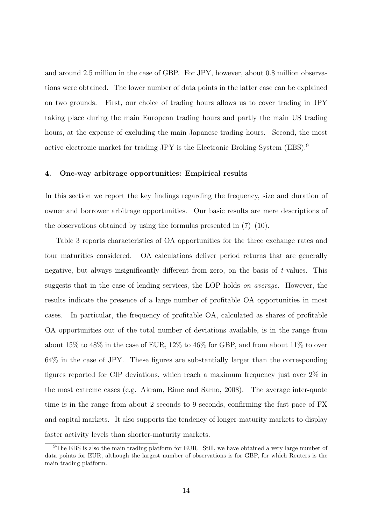and around 2.5 million in the case of GBP. For JPY, however, about 0.8 million observations were obtained. The lower number of data points in the latter case can be explained on two grounds. First, our choice of trading hours allows us to cover trading in JPY taking place during the main European trading hours and partly the main US trading hours, at the expense of excluding the main Japanese trading hours. Second, the most active electronic market for trading JPY is the Electronic Broking System (EBS).<sup>9</sup>

#### 4. One-way arbitrage opportunities: Empirical results

In this section we report the key findings regarding the frequency, size and duration of owner and borrower arbitrage opportunities. Our basic results are mere descriptions of the observations obtained by using the formulas presented in  $(7)-(10)$ .

Table 3 reports characteristics of OA opportunities for the three exchange rates and four maturities considered. OA calculations deliver period returns that are generally negative, but always insignificantly different from zero, on the basis of t-values. This suggests that in the case of lending services, the LOP holds on average. However, the results indicate the presence of a large number of profitable OA opportunities in most cases. In particular, the frequency of profitable OA, calculated as shares of profitable OA opportunities out of the total number of deviations available, is in the range from about 15% to 48% in the case of EUR, 12% to 46% for GBP, and from about 11% to over 64% in the case of JPY. These figures are substantially larger than the corresponding figures reported for CIP deviations, which reach a maximum frequency just over 2% in the most extreme cases (e.g. Akram, Rime and Sarno, 2008). The average inter-quote time is in the range from about 2 seconds to 9 seconds, confirming the fast pace of FX and capital markets. It also supports the tendency of longer-maturity markets to display faster activity levels than shorter-maturity markets.

<sup>&</sup>lt;sup>9</sup>The EBS is also the main trading platform for EUR. Still, we have obtained a very large number of data points for EUR, although the largest number of observations is for GBP, for which Reuters is the main trading platform.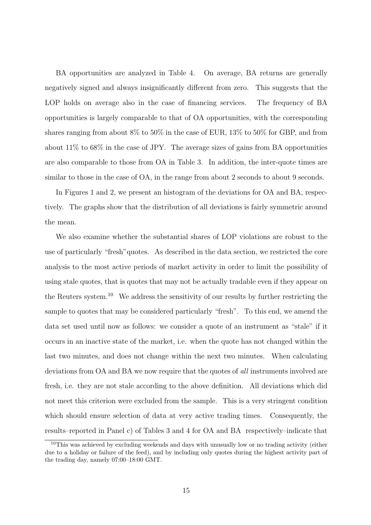BA opportunities are analyzed in Table 4. On average, BA returns are generally negatively signed and always insignificantly different from zero. This suggests that the LOP holds on average also in the case of financing services. The frequency of BA opportunities is largely comparable to that of OA opportunities, with the corresponding shares ranging from about 8% to 50% in the case of EUR, 13% to 50% for GBP, and from about 11% to 68% in the case of JPY. The average sizes of gains from BA opportunities are also comparable to those from OA in Table 3. In addition, the inter-quote times are similar to those in the case of OA, in the range from about 2 seconds to about 9 seconds.

In Figures 1 and 2, we present an histogram of the deviations for OA and BA, respectively. The graphs show that the distribution of all deviations is fairly symmetric around the mean.

We also examine whether the substantial shares of LOP violations are robust to the use of particularly "fresh"quotes. As described in the data section, we restricted the core analysis to the most active periods of market activity in order to limit the possibility of using stale quotes, that is quotes that may not be actually tradable even if they appear on the Reuters system.<sup>10</sup> We address the sensitivity of our results by further restricting the sample to quotes that may be considered particularly "fresh". To this end, we amend the data set used until now as follows: we consider a quote of an instrument as "stale" if it occurs in an inactive state of the market, i.e. when the quote has not changed within the last two minutes, and does not change within the next two minutes. When calculating deviations from OA and BA we now require that the quotes of all instruments involved are fresh, i.e. they are not stale according to the above definition. All deviations which did not meet this criterion were excluded from the sample. This is a very stringent condition which should ensure selection of data at very active trading times. Consequently, the results–reported in Panel c) of Tables 3 and 4 for OA and BA respectively–indicate that

<sup>&</sup>lt;sup>10</sup>This was achieved by excluding weekends and days with unusually low or no trading activity (either due to a holiday or failure of the feed), and by including only quotes during the highest activity part of the trading day, namely 07:00–18:00 GMT.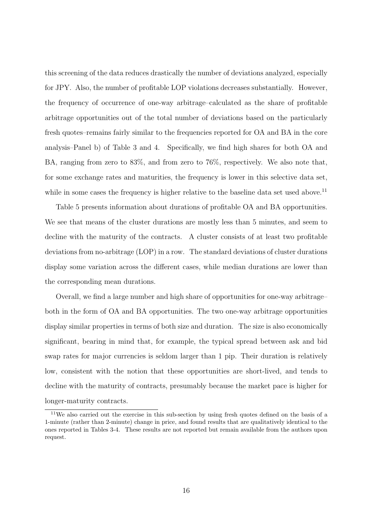this screening of the data reduces drastically the number of deviations analyzed, especially for JPY. Also, the number of profitable LOP violations decreases substantially. However, the frequency of occurrence of one-way arbitrage–calculated as the share of profitable arbitrage opportunities out of the total number of deviations based on the particularly fresh quotes–remains fairly similar to the frequencies reported for OA and BA in the core analysis–Panel b) of Table 3 and 4. Specifically, we find high shares for both OA and BA, ranging from zero to 83%, and from zero to 76%, respectively. We also note that, for some exchange rates and maturities, the frequency is lower in this selective data set, while in some cases the frequency is higher relative to the baseline data set used above.<sup>11</sup>

Table 5 presents information about durations of profitable OA and BA opportunities. We see that means of the cluster durations are mostly less than 5 minutes, and seem to decline with the maturity of the contracts. A cluster consists of at least two profitable deviations from no-arbitrage (LOP) in a row. The standard deviations of cluster durations display some variation across the different cases, while median durations are lower than the corresponding mean durations.

Overall, we find a large number and high share of opportunities for one-way arbitrage– both in the form of OA and BA opportunities. The two one-way arbitrage opportunities display similar properties in terms of both size and duration. The size is also economically significant, bearing in mind that, for example, the typical spread between ask and bid swap rates for major currencies is seldom larger than 1 pip. Their duration is relatively low, consistent with the notion that these opportunities are short-lived, and tends to decline with the maturity of contracts, presumably because the market pace is higher for longer-maturity contracts.

<sup>11</sup>We also carried out the exercise in this sub-section by using fresh quotes defined on the basis of a 1-minute (rather than 2-minute) change in price, and found results that are qualitatively identical to the ones reported in Tables 3-4. These results are not reported but remain available from the authors upon request.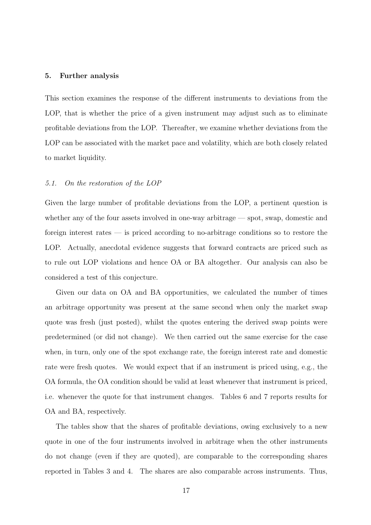#### 5. Further analysis

This section examines the response of the different instruments to deviations from the LOP, that is whether the price of a given instrument may adjust such as to eliminate profitable deviations from the LOP. Thereafter, we examine whether deviations from the LOP can be associated with the market pace and volatility, which are both closely related to market liquidity.

#### 5.1. On the restoration of the LOP

Given the large number of profitable deviations from the LOP, a pertinent question is whether any of the four assets involved in one-way arbitrage — spot, swap, domestic and foreign interest rates — is priced according to no-arbitrage conditions so to restore the LOP. Actually, anecdotal evidence suggests that forward contracts are priced such as to rule out LOP violations and hence OA or BA altogether. Our analysis can also be considered a test of this conjecture.

Given our data on OA and BA opportunities, we calculated the number of times an arbitrage opportunity was present at the same second when only the market swap quote was fresh (just posted), whilst the quotes entering the derived swap points were predetermined (or did not change). We then carried out the same exercise for the case when, in turn, only one of the spot exchange rate, the foreign interest rate and domestic rate were fresh quotes. We would expect that if an instrument is priced using, e.g., the OA formula, the OA condition should be valid at least whenever that instrument is priced, i.e. whenever the quote for that instrument changes. Tables 6 and 7 reports results for OA and BA, respectively.

The tables show that the shares of profitable deviations, owing exclusively to a new quote in one of the four instruments involved in arbitrage when the other instruments do not change (even if they are quoted), are comparable to the corresponding shares reported in Tables 3 and 4. The shares are also comparable across instruments. Thus,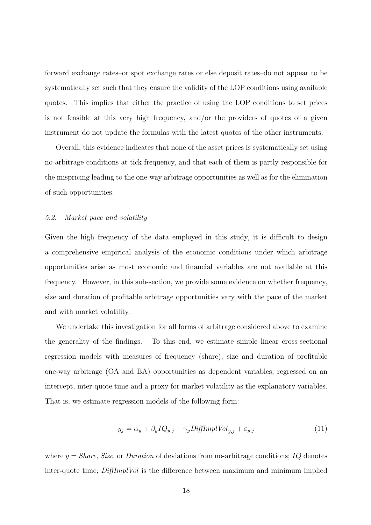forward exchange rates–or spot exchange rates or else deposit rates–do not appear to be systematically set such that they ensure the validity of the LOP conditions using available quotes. This implies that either the practice of using the LOP conditions to set prices is not feasible at this very high frequency, and/or the providers of quotes of a given instrument do not update the formulas with the latest quotes of the other instruments.

Overall, this evidence indicates that none of the asset prices is systematically set using no-arbitrage conditions at tick frequency, and that each of them is partly responsible for the mispricing leading to the one-way arbitrage opportunities as well as for the elimination of such opportunities.

#### 5.2. Market pace and volatility

Given the high frequency of the data employed in this study, it is difficult to design a comprehensive empirical analysis of the economic conditions under which arbitrage opportunities arise as most economic and financial variables are not available at this frequency. However, in this sub-section, we provide some evidence on whether frequency, size and duration of profitable arbitrage opportunities vary with the pace of the market and with market volatility.

We undertake this investigation for all forms of arbitrage considered above to examine the generality of the findings. To this end, we estimate simple linear cross-sectional regression models with measures of frequency (share), size and duration of profitable one-way arbitrage (OA and BA) opportunities as dependent variables, regressed on an intercept, inter-quote time and a proxy for market volatility as the explanatory variables. That is, we estimate regression models of the following form:

$$
y_j = \alpha_y + \beta_y IQ_{y,j} + \gamma_y DiffImplVol_{y,j} + \varepsilon_{y,j}
$$
\n(11)

where  $y = share$ , Size, or Duration of deviations from no-arbitrage conditions; IQ denotes inter-quote time;  $DiffImplVol$  is the difference between maximum and minimum implied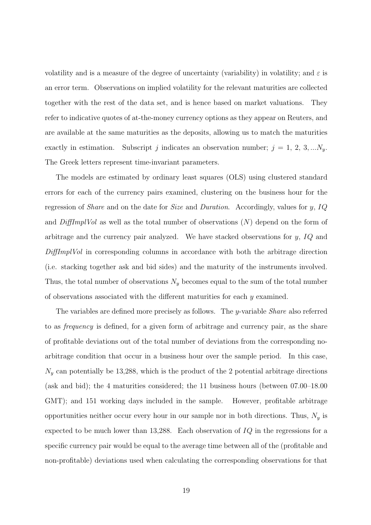volatility and is a measure of the degree of uncertainty (variability) in volatility; and  $\varepsilon$  is an error term. Observations on implied volatility for the relevant maturities are collected together with the rest of the data set, and is hence based on market valuations. They refer to indicative quotes of at-the-money currency options as they appear on Reuters, and are available at the same maturities as the deposits, allowing us to match the maturities exactly in estimation. Subscript j indicates an observation number;  $j = 1, 2, 3, ...N_y$ . The Greek letters represent time-invariant parameters.

The models are estimated by ordinary least squares (OLS) using clustered standard errors for each of the currency pairs examined, clustering on the business hour for the regression of *Share* and on the date for *Size* and *Duration*. Accordingly, values for  $y$ ,  $IQ$ and  $DiffImplVol$  as well as the total number of observations  $(N)$  depend on the form of arbitrage and the currency pair analyzed. We have stacked observations for y, IQ and DiffImplVol in corresponding columns in accordance with both the arbitrage direction (i.e. stacking together ask and bid sides) and the maturity of the instruments involved. Thus, the total number of observations  $N_y$  becomes equal to the sum of the total number of observations associated with the different maturities for each  $y$  examined.

The variables are defined more precisely as follows. The y-variable *Share* also referred to as frequency is defined, for a given form of arbitrage and currency pair, as the share of profitable deviations out of the total number of deviations from the corresponding noarbitrage condition that occur in a business hour over the sample period. In this case,  $N_y$  can potentially be 13,288, which is the product of the 2 potential arbitrage directions (ask and bid); the 4 maturities considered; the 11 business hours (between 07.00–18.00 GMT); and 151 working days included in the sample. However, profitable arbitrage opportunities neither occur every hour in our sample nor in both directions. Thus,  $N_y$  is expected to be much lower than 13,288. Each observation of  $IQ$  in the regressions for a specific currency pair would be equal to the average time between all of the (profitable and non-profitable) deviations used when calculating the corresponding observations for that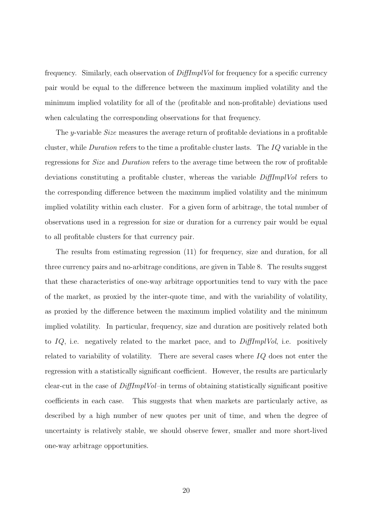frequency. Similarly, each observation of DiffImplVol for frequency for a specific currency pair would be equal to the difference between the maximum implied volatility and the minimum implied volatility for all of the (profitable and non-profitable) deviations used when calculating the corresponding observations for that frequency.

The y-variable Size measures the average return of profitable deviations in a profitable cluster, while Duration refers to the time a profitable cluster lasts. The IQ variable in the regressions for Size and Duration refers to the average time between the row of profitable deviations constituting a profitable cluster, whereas the variable *DiffImplVol* refers to the corresponding difference between the maximum implied volatility and the minimum implied volatility within each cluster. For a given form of arbitrage, the total number of observations used in a regression for size or duration for a currency pair would be equal to all profitable clusters for that currency pair.

The results from estimating regression (11) for frequency, size and duration, for all three currency pairs and no-arbitrage conditions, are given in Table 8. The results suggest that these characteristics of one-way arbitrage opportunities tend to vary with the pace of the market, as proxied by the inter-quote time, and with the variability of volatility, as proxied by the difference between the maximum implied volatility and the minimum implied volatility. In particular, frequency, size and duration are positively related both to  $IQ$ , i.e. negatively related to the market pace, and to  $DiffImplVol$ , i.e. positively related to variability of volatility. There are several cases where  $IQ$  does not enter the regression with a statistically significant coefficient. However, the results are particularly clear-cut in the case of DiffImplVol–in terms of obtaining statistically significant positive coefficients in each case. This suggests that when markets are particularly active, as described by a high number of new quotes per unit of time, and when the degree of uncertainty is relatively stable, we should observe fewer, smaller and more short-lived one-way arbitrage opportunities.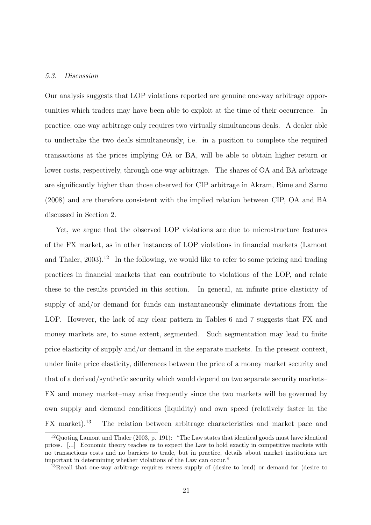#### 5.3. Discussion

Our analysis suggests that LOP violations reported are genuine one-way arbitrage opportunities which traders may have been able to exploit at the time of their occurrence. In practice, one-way arbitrage only requires two virtually simultaneous deals. A dealer able to undertake the two deals simultaneously, i.e. in a position to complete the required transactions at the prices implying OA or BA, will be able to obtain higher return or lower costs, respectively, through one-way arbitrage. The shares of OA and BA arbitrage are significantly higher than those observed for CIP arbitrage in Akram, Rime and Sarno (2008) and are therefore consistent with the implied relation between CIP, OA and BA discussed in Section 2.

Yet, we argue that the observed LOP violations are due to microstructure features of the FX market, as in other instances of LOP violations in financial markets (Lamont and Thaler,  $2003$ <sup>12</sup> In the following, we would like to refer to some pricing and trading practices in financial markets that can contribute to violations of the LOP, and relate these to the results provided in this section. In general, an infinite price elasticity of supply of and/or demand for funds can instantaneously eliminate deviations from the LOP. However, the lack of any clear pattern in Tables 6 and 7 suggests that FX and money markets are, to some extent, segmented. Such segmentation may lead to finite price elasticity of supply and/or demand in the separate markets. In the present context, under finite price elasticity, differences between the price of a money market security and that of a derived/synthetic security which would depend on two separate security markets– FX and money market–may arise frequently since the two markets will be governed by own supply and demand conditions (liquidity) and own speed (relatively faster in the FX market).<sup>13</sup> The relation between arbitrage characteristics and market pace and

<sup>12</sup>Quoting Lamont and Thaler (2003, p. 191): "The Law states that identical goods must have identical prices. [...] Economic theory teaches us to expect the Law to hold exactly in competitive markets with no transactions costs and no barriers to trade, but in practice, details about market institutions are important in determining whether violations of the Law can occur."

<sup>13</sup>Recall that one-way arbitrage requires excess supply of (desire to lend) or demand for (desire to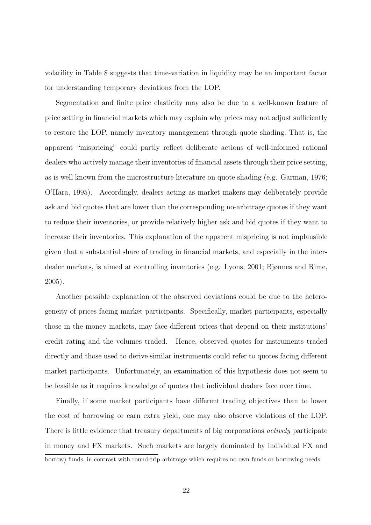volatility in Table 8 suggests that time-variation in liquidity may be an important factor for understanding temporary deviations from the LOP.

Segmentation and finite price elasticity may also be due to a well-known feature of price setting in financial markets which may explain why prices may not adjust sufficiently to restore the LOP, namely inventory management through quote shading. That is, the apparent "mispricing" could partly reflect deliberate actions of well-informed rational dealers who actively manage their inventories of financial assets through their price setting, as is well known from the microstructure literature on quote shading (e.g. Garman, 1976; O'Hara, 1995). Accordingly, dealers acting as market makers may deliberately provide ask and bid quotes that are lower than the corresponding no-arbitrage quotes if they want to reduce their inventories, or provide relatively higher ask and bid quotes if they want to increase their inventories. This explanation of the apparent mispricing is not implausible given that a substantial share of trading in financial markets, and especially in the interdealer markets, is aimed at controlling inventories (e.g. Lyons, 2001; Bjønnes and Rime, 2005).

Another possible explanation of the observed deviations could be due to the heterogeneity of prices facing market participants. Specifically, market participants, especially those in the money markets, may face different prices that depend on their institutions' credit rating and the volumes traded. Hence, observed quotes for instruments traded directly and those used to derive similar instruments could refer to quotes facing different market participants. Unfortunately, an examination of this hypothesis does not seem to be feasible as it requires knowledge of quotes that individual dealers face over time.

Finally, if some market participants have different trading objectives than to lower the cost of borrowing or earn extra yield, one may also observe violations of the LOP. There is little evidence that treasury departments of big corporations *actively* participate in money and FX markets. Such markets are largely dominated by individual FX and borrow) funds, in contrast with round-trip arbitrage which requires no own funds or borrowing needs.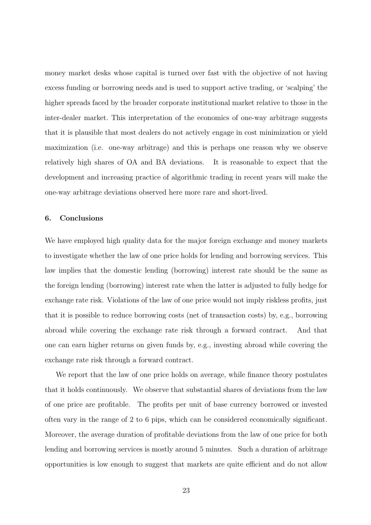money market desks whose capital is turned over fast with the objective of not having excess funding or borrowing needs and is used to support active trading, or 'scalping' the higher spreads faced by the broader corporate institutional market relative to those in the inter-dealer market. This interpretation of the economics of one-way arbitrage suggests that it is plausible that most dealers do not actively engage in cost minimization or yield maximization (i.e. one-way arbitrage) and this is perhaps one reason why we observe relatively high shares of OA and BA deviations. It is reasonable to expect that the development and increasing practice of algorithmic trading in recent years will make the one-way arbitrage deviations observed here more rare and short-lived.

#### 6. Conclusions

We have employed high quality data for the major foreign exchange and money markets to investigate whether the law of one price holds for lending and borrowing services. This law implies that the domestic lending (borrowing) interest rate should be the same as the foreign lending (borrowing) interest rate when the latter is adjusted to fully hedge for exchange rate risk. Violations of the law of one price would not imply riskless profits, just that it is possible to reduce borrowing costs (net of transaction costs) by, e.g., borrowing abroad while covering the exchange rate risk through a forward contract. And that one can earn higher returns on given funds by, e.g., investing abroad while covering the exchange rate risk through a forward contract.

We report that the law of one price holds on average, while finance theory postulates that it holds continuously. We observe that substantial shares of deviations from the law of one price are profitable. The profits per unit of base currency borrowed or invested often vary in the range of 2 to 6 pips, which can be considered economically significant. Moreover, the average duration of profitable deviations from the law of one price for both lending and borrowing services is mostly around 5 minutes. Such a duration of arbitrage opportunities is low enough to suggest that markets are quite efficient and do not allow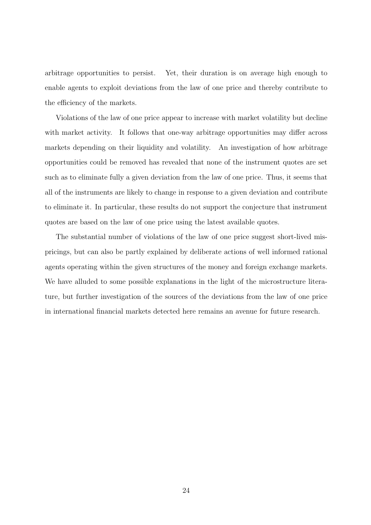arbitrage opportunities to persist. Yet, their duration is on average high enough to enable agents to exploit deviations from the law of one price and thereby contribute to the efficiency of the markets.

Violations of the law of one price appear to increase with market volatility but decline with market activity. It follows that one-way arbitrage opportunities may differ across markets depending on their liquidity and volatility. An investigation of how arbitrage opportunities could be removed has revealed that none of the instrument quotes are set such as to eliminate fully a given deviation from the law of one price. Thus, it seems that all of the instruments are likely to change in response to a given deviation and contribute to eliminate it. In particular, these results do not support the conjecture that instrument quotes are based on the law of one price using the latest available quotes.

The substantial number of violations of the law of one price suggest short-lived mispricings, but can also be partly explained by deliberate actions of well informed rational agents operating within the given structures of the money and foreign exchange markets. We have alluded to some possible explanations in the light of the microstructure literature, but further investigation of the sources of the deviations from the law of one price in international financial markets detected here remains an avenue for future research.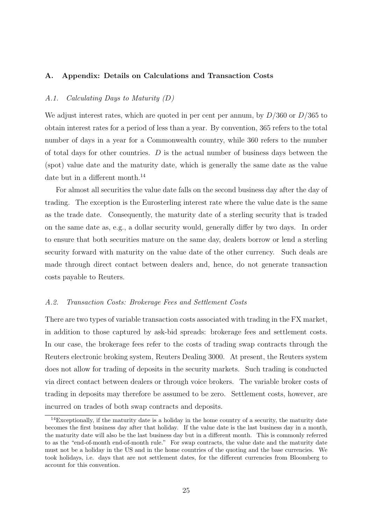#### A. Appendix: Details on Calculations and Transaction Costs

#### A.1. Calculating Days to Maturity (D)

We adjust interest rates, which are quoted in per cent per annum, by  $D/360$  or  $D/365$  to obtain interest rates for a period of less than a year. By convention, 365 refers to the total number of days in a year for a Commonwealth country, while 360 refers to the number of total days for other countries.  $D$  is the actual number of business days between the (spot) value date and the maturity date, which is generally the same date as the value date but in a different month.<sup>14</sup>

For almost all securities the value date falls on the second business day after the day of trading. The exception is the Eurosterling interest rate where the value date is the same as the trade date. Consequently, the maturity date of a sterling security that is traded on the same date as, e.g., a dollar security would, generally differ by two days. In order to ensure that both securities mature on the same day, dealers borrow or lend a sterling security forward with maturity on the value date of the other currency. Such deals are made through direct contact between dealers and, hence, do not generate transaction costs payable to Reuters.

#### A.2. Transaction Costs: Brokerage Fees and Settlement Costs

There are two types of variable transaction costs associated with trading in the FX market, in addition to those captured by ask-bid spreads: brokerage fees and settlement costs. In our case, the brokerage fees refer to the costs of trading swap contracts through the Reuters electronic broking system, Reuters Dealing 3000. At present, the Reuters system does not allow for trading of deposits in the security markets. Such trading is conducted via direct contact between dealers or through voice brokers. The variable broker costs of trading in deposits may therefore be assumed to be zero. Settlement costs, however, are incurred on trades of both swap contracts and deposits.

 $14$ Exceptionally, if the maturity date is a holiday in the home country of a security, the maturity date becomes the first business day after that holiday. If the value date is the last business day in a month, the maturity date will also be the last business day but in a different month. This is commonly referred to as the "end-of-month end-of-month rule." For swap contracts, the value date and the maturity date must not be a holiday in the US and in the home countries of the quoting and the base currencies. We took holidays, i.e. days that are not settlement dates, for the different currencies from Bloomberg to account for this convention.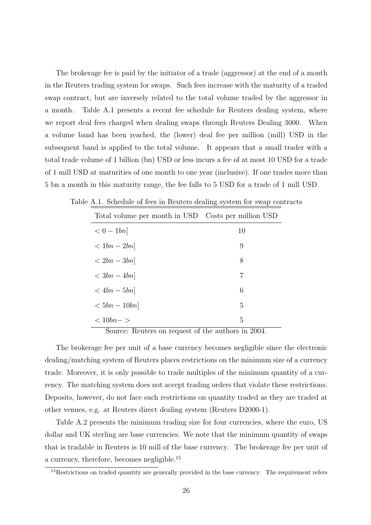The brokerage fee is paid by the initiator of a trade (aggressor) at the end of a month in the Reuters trading system for swaps. Such fees increase with the maturity of a traded swap contract, but are inversely related to the total volume traded by the aggressor in a month. Table A.1 presents a recent fee schedule for Reuters dealing system, where we report deal fees charged when dealing swaps through Reuters Dealing 3000. When a volume band has been reached, the (lower) deal fee per million (mill) USD in the subsequent band is applied to the total volume. It appears that a small trader with a total trade volume of 1 billion (bn) USD or less incurs a fee of at most 10 USD for a trade of 1 mill USD at maturities of one month to one year (inclusive). If one trades more than 5 bn a month in this maturity range, the fee falls to 5 USD for a trade of 1 mill USD.

| Total volume per month in USD Costs per million USD |                    |
|-----------------------------------------------------|--------------------|
| $< 0 - 1bn$                                         | 10                 |
| $\langle 1bn - 2bn \rangle$                         | 9                  |
| $\langle 2bn - 3bn \rangle$                         | 8                  |
| $\langle 3bn - 4bn \rangle$                         | 7                  |
| $\langle 4bn - 5bn \rangle$                         | 6                  |
| $< 5bn - 10bn$                                      | 5                  |
| $< 10bn - >$                                        | 5<br>$\sim$ $\sim$ |

Table A.1. Schedule of fees in Reuters dealing system for swap contracts

Source: Reuters on request of the authors in 2004.

The brokerage fee per unit of a base currency becomes negligible since the electronic dealing/matching system of Reuters places restrictions on the minimum size of a currency trade. Moreover, it is only possible to trade multiples of the minimum quantity of a currency. The matching system does not accept trading orders that violate these restrictions. Deposits, however, do not face such restrictions on quantity traded as they are traded at other venues, e.g. at Reuters direct dealing system (Reuters D2000-1).

Table A.2 presents the minimum trading size for four currencies, where the euro, US dollar and UK sterling are base currencies. We note that the minimum quantity of swaps that is tradable in Reuters is 10 mill of the base currency. The brokerage fee per unit of a currency, therefore, becomes negligible.<sup>15</sup>

<sup>&</sup>lt;sup>15</sup>Restrictions on traded quantity are generally provided in the base currency. The requirement refers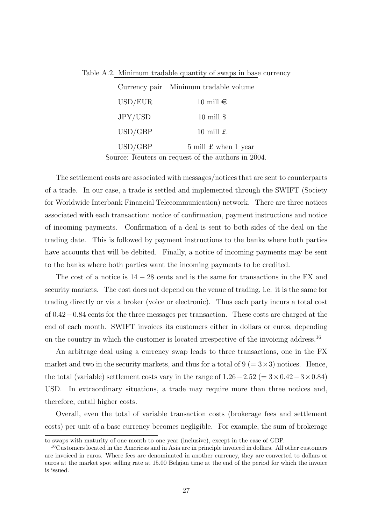|         | Currency pair Minimum tradable volume         |
|---------|-----------------------------------------------|
| USD/EUR | 10 mill $∈$                                   |
| JPY/USD | $10 \text{ mill }$ \$                         |
| USD/GBP | 10 mill $\pounds$                             |
| USD/GBP | $5 \text{ mill } \pounds$ when 1 year         |
|         | Dentes on negative the subset of $\mathbf{A}$ |

Table A.2. Minimum tradable quantity of swaps in base currency

Source: Reuters on request of the authors in 2004.

The settlement costs are associated with messages/notices that are sent to counterparts of a trade. In our case, a trade is settled and implemented through the SWIFT (Society for Worldwide Interbank Financial Telecommunication) network. There are three notices associated with each transaction: notice of confirmation, payment instructions and notice of incoming payments. Confirmation of a deal is sent to both sides of the deal on the trading date. This is followed by payment instructions to the banks where both parties have accounts that will be debited. Finally, a notice of incoming payments may be sent to the banks where both parties want the incoming payments to be credited.

The cost of a notice is  $14 - 28$  cents and is the same for transactions in the FX and security markets. The cost does not depend on the venue of trading, i.e. it is the same for trading directly or via a broker (voice or electronic). Thus each party incurs a total cost of 0.42−0.84 cents for the three messages per transaction. These costs are charged at the end of each month. SWIFT invoices its customers either in dollars or euros, depending on the country in which the customer is located irrespective of the invoicing address.<sup>16</sup>

An arbitrage deal using a currency swap leads to three transactions, one in the FX market and two in the security markets, and thus for a total of  $9 (= 3 \times 3)$  notices. Hence, the total (variable) settlement costs vary in the range of  $1.26-2.52 (= 3 \times 0.42-3 \times 0.84)$ USD. In extraordinary situations, a trade may require more than three notices and, therefore, entail higher costs.

Overall, even the total of variable transaction costs (brokerage fees and settlement costs) per unit of a base currency becomes negligible. For example, the sum of brokerage

to swaps with maturity of one month to one year (inclusive), except in the case of GBP.

<sup>&</sup>lt;sup>16</sup>Customers located in the Americas and in Asia are in principle invoiced in dollars. All other customers are invoiced in euros. Where fees are denominated in another currency, they are converted to dollars or euros at the market spot selling rate at 15.00 Belgian time at the end of the period for which the invoice is issued.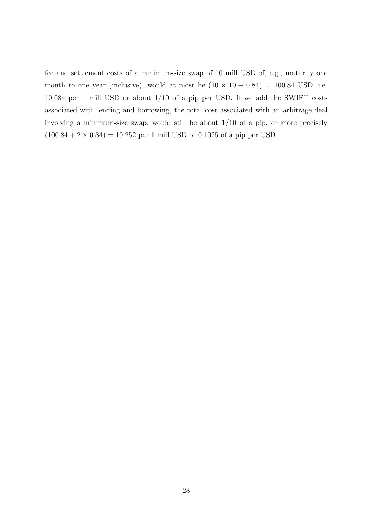fee and settlement costs of a minimum-size swap of 10 mill USD of, e.g., maturity one month to one year (inclusive), would at most be  $(10 \times 10 + 0.84) = 100.84$  USD, i.e. 10.084 per 1 mill USD or about 1/10 of a pip per USD. If we add the SWIFT costs associated with lending and borrowing, the total cost associated with an arbitrage deal involving a minimum-size swap, would still be about  $1/10$  of a pip, or more precisely  $(100.84 + 2 \times 0.84) = 10.252$  per 1 mill USD or 0.1025 of a pip per USD.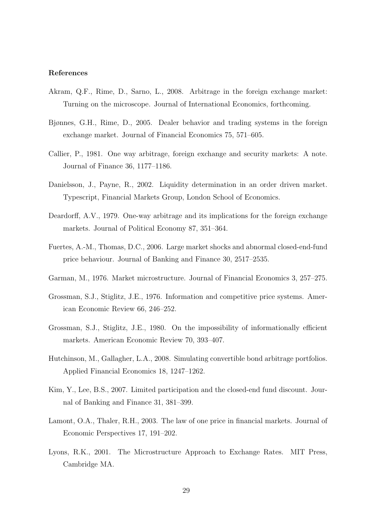#### References

- Akram, Q.F., Rime, D., Sarno, L., 2008. Arbitrage in the foreign exchange market: Turning on the microscope. Journal of International Economics, forthcoming.
- Bjønnes, G.H., Rime, D., 2005. Dealer behavior and trading systems in the foreign exchange market. Journal of Financial Economics 75, 571–605.
- Callier, P., 1981. One way arbitrage, foreign exchange and security markets: A note. Journal of Finance 36, 1177–1186.
- Danielsson, J., Payne, R., 2002. Liquidity determination in an order driven market. Typescript, Financial Markets Group, London School of Economics.
- Deardorff, A.V., 1979. One-way arbitrage and its implications for the foreign exchange markets. Journal of Political Economy 87, 351–364.
- Fuertes, A.-M., Thomas, D.C., 2006. Large market shocks and abnormal closed-end-fund price behaviour. Journal of Banking and Finance 30, 2517–2535.
- Garman, M., 1976. Market microstructure. Journal of Financial Economics 3, 257–275.
- Grossman, S.J., Stiglitz, J.E., 1976. Information and competitive price systems. American Economic Review 66, 246–252.
- Grossman, S.J., Stiglitz, J.E., 1980. On the impossibility of informationally efficient markets. American Economic Review 70, 393–407.
- Hutchinson, M., Gallagher, L.A., 2008. Simulating convertible bond arbitrage portfolios. Applied Financial Economics 18, 1247–1262.
- Kim, Y., Lee, B.S., 2007. Limited participation and the closed-end fund discount. Journal of Banking and Finance 31, 381–399.
- Lamont, O.A., Thaler, R.H., 2003. The law of one price in financial markets. Journal of Economic Perspectives 17, 191–202.
- Lyons, R.K., 2001. The Microstructure Approach to Exchange Rates. MIT Press, Cambridge MA.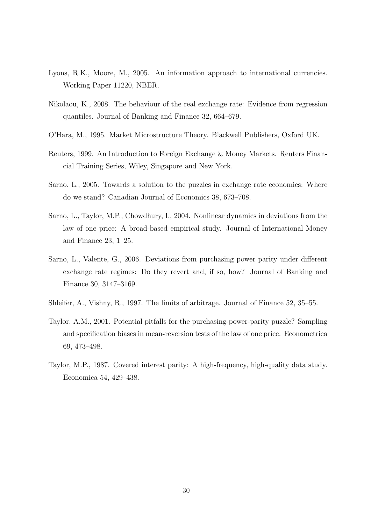- Lyons, R.K., Moore, M., 2005. An information approach to international currencies. Working Paper 11220, NBER.
- Nikolaou, K., 2008. The behaviour of the real exchange rate: Evidence from regression quantiles. Journal of Banking and Finance 32, 664–679.
- O'Hara, M., 1995. Market Microstructure Theory. Blackwell Publishers, Oxford UK.
- Reuters, 1999. An Introduction to Foreign Exchange & Money Markets. Reuters Financial Training Series, Wiley, Singapore and New York.
- Sarno, L., 2005. Towards a solution to the puzzles in exchange rate economics: Where do we stand? Canadian Journal of Economics 38, 673–708.
- Sarno, L., Taylor, M.P., Chowdhury, I., 2004. Nonlinear dynamics in deviations from the law of one price: A broad-based empirical study. Journal of International Money and Finance 23, 1–25.
- Sarno, L., Valente, G., 2006. Deviations from purchasing power parity under different exchange rate regimes: Do they revert and, if so, how? Journal of Banking and Finance 30, 3147–3169.
- Shleifer, A., Vishny, R., 1997. The limits of arbitrage. Journal of Finance 52, 35–55.
- Taylor, A.M., 2001. Potential pitfalls for the purchasing-power-parity puzzle? Sampling and specification biases in mean-reversion tests of the law of one price. Econometrica 69, 473–498.
- Taylor, M.P., 1987. Covered interest parity: A high-frequency, high-quality data study. Economica 54, 429–438.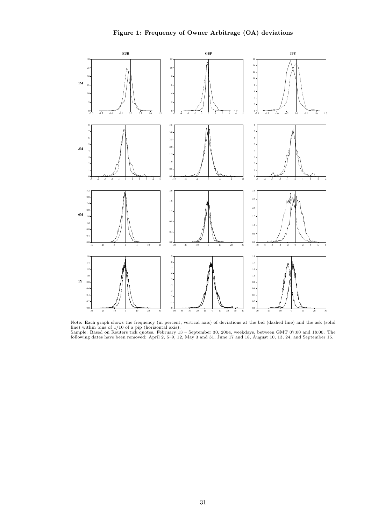

Note: Each graph shows the frequency (in percent, vertical axis) of deviations at the bid (dashed line) and the ask (solid line) within bins of 1/10 of a pip (horizontal axis). Sample: Based on Reuters tick quotes. February 13 – September 30, 2004, weekdays, between GMT 07:00 and 18:00. The<br>following dates have been removed: April 2, 5–9, 12, May 3 and 31, June 17 and 18, August 10, 13, 24, and S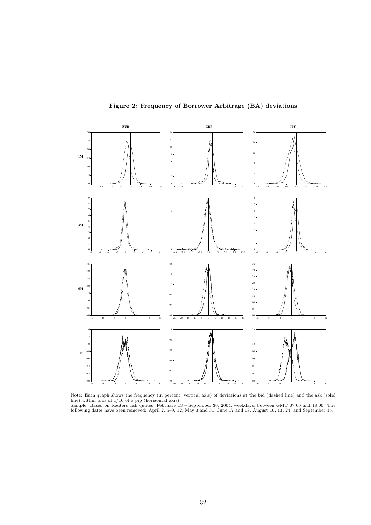

Figure 2: Frequency of Borrower Arbitrage (BA) deviations

Note: Each graph shows the frequency (in percent, vertical axis) of deviations at the bid (dashed line) and the ask (solid<br>line) within bins of 1/10 of a pip (horizontal axis).<br>Sample: Based on Reuters tick quotes. Februar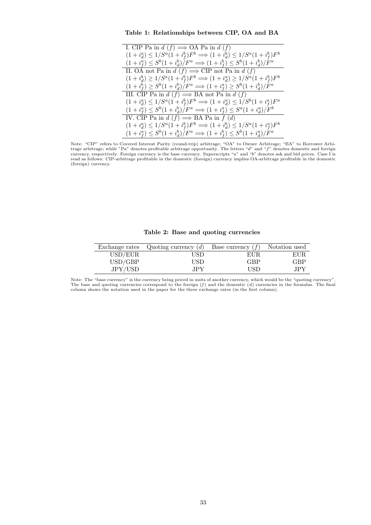#### Table 1: Relationships between CIP, OA and BA

Note: "CIP" refers to Covered Interest Parity (round-trip) arbitrage; "OA" to Owner Arbitrage; "BA" to Borrower Arbi-<br>trage arbitrage; while "Pa" denotes profitable arbitrage opportunity. The letters "d" and "f" denotes do (foreign) currency.

|  | Table 2: Base and quoting currencies |
|--|--------------------------------------|

|         | Exchange rates Quoting currency $(d)$ | Base currency $(f)$ | Notation used |
|---------|---------------------------------------|---------------------|---------------|
| USD/EUR | USD                                   | EUR.                | EUR.          |
| USD/GBP | USD                                   | <b>GBP</b>          | <b>GBP</b>    |
| JPY/USD | JPY                                   | USD                 | .IPY          |

Note: The "base currency" is the currency being priced in units of another currency, which would be the "quoting currency". The base and quoting currencies correspond to the foreign  $(f)$  and the domestic  $(d)$  currencies in the formulas. The final column shows the notation used in the paper for the three exchange rates (in the first column).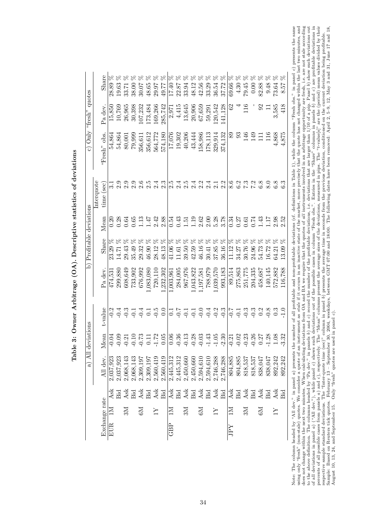| 6M             | Ask | 2,594,610 | $-0.03$           | $-0.0$           | 1,197,581 | 46.16 %    | 2.62 | 2.2             |         | 67,659          | 42.56 %   |
|----------------|-----|-----------|-------------------|------------------|-----------|------------|------|-----------------|---------|-----------------|-----------|
|                | Bid | 2,594,610 | $-1.43$           | $-0.4$           | 788,979   | R<br>30.41 | 2.00 | 2.4             | 178,113 | 59,291          | 33.29 %   |
| $\overline{Y}$ | Ask | 2,746,288 | $-1.05$           | $-0.2$           | ,039,570  | 37.85 %    | 5.28 | $\Xi$           | 329,914 | 120,542         | 36.54 %   |
|                | Bid | 2,746,288 | $-2.30$           | $-0.3$           | 993.183   | 36.16 %    | 3.78 | 2.2             | 374,132 | 141,128         | 37.72 %   |
| 1M<br>JPY      | Ask | 804,885   | $-0.21$           | $\frac{1.0}{-}$  | 89,514    | $11.12\%$  | 0.34 | $\frac{8.6}{ }$ | 89      | $\overline{62}$ | 69.66 %   |
|                | Bid | 804,885   | $-0.02$           |                  | 275,863   | 34.27 %    | 0.27 | 6.2             | 93      |                 | $4.30~\%$ |
| 3M             | Ask | 818,537   | 0.23              |                  | 251,775   | 30.76 %    | 0.61 | 7.3             | 146     | 116             | 79.45%    |
|                | Bid | 818,537   |                   |                  | 204,335   | 24.96 %    | 0.74 | 7.2             | 149     |                 | $0.00\%$  |
| $_{\rm N0}$    | Ask | 838,047   | $-0.26$<br>$0.27$ |                  | 458,687   | 54.73 %    | 1.43 |                 |         | S               | 82.88 %   |
|                | Bid | 838,047   | $-1.28$           | $-0.8$           | 140,145   | $16.72\%$  | 1.17 |                 | 116     |                 | 9.48%     |
| $\rm \Xi$      | Ask | 892,242   | 1.08              | $0.\overline{3}$ | 572,882   | 64.21      | 2.98 |                 | 4,868   | 3.585           | 73.64 %   |
|                | Bid | 892,242   | $-3.32$           | $-1.0$           | 16,788    | $.3.09\%$  | 2.52 |                 | 4,875   | 418             | 8.57 %    |

| l             |
|---------------|
| l<br>l<br>i   |
| Í<br>ׇ֚֘<br>ĺ |
|               |
| .<br>.<br>I   |
|               |
|               |

a) All deviations **b**) Profitable deviations **c**) Only "fresh" quotes

Profitable deviations

.<br>ه

a) All deviations

Interquote

Share  $\approx$ 

Pa dev.

"Fresh" obs. 54,864

c)  $\text{Onlv}$  "fresh" quotes

 $28.89$ 19.63 33.71 38.00 30.07 48.65 29.97 49.77

15,850

 $\beta^{\circ}$  $\aleph$ 

10,769 26,965

54,864 80.001 30.398 107,232

79.999

Exchange rate All dev. Mean t-value Pa dev. Share Mean time (sec) "Fresh" obs. Pa dev. Share EUR 1M Ask 2,037,923 -0.04 -0.2 474,531 23.29 % 0.20 3.1 54,864 15,850 28.89 %<br>PER 15,850 28.89 % 0.04 % 0.04 % 0.09 % 0.09 % 0.09 % 0.09 % 0.09 % 0.09 % 0.09 % 0.09 % 0.09 % 0.09 % 0.09 %

Pa dev.

t-value

Mean

All dev.

Exchange rate  $\overline{\mathbb{M}}$ 

23.29 %

174,531

 $\sqrt{0.2}$ 

 $-0.04$  $-0.09$  $0.21$ 

2,037,923 2,037,923

Åsk **Bid** 

EUR

Share

Mean  $\overline{0.20}$  Bid 2,037,923 -0.09 -0.4 299,880 14.71 % 0.28 2.9 54,864 10,769 19.63 % 3M Ask 2,068,143 -0.21 -0.3 608,649 29.43 % 0.64 2.9 80,001 26,965 33.71 % Bid 2,068,143 -0.10 -0.1 733,902 35.49 % 0.65 2.9 79,999 30,398 38.00 % 6M Ask 2,309,197 -0.73 -0.4 676,992 29.32 % 1.13 2.6 356,611 107,232 30.07 % Bid 2,309,197 0.11 0.1 1,083,080 46.90 % 1.47 2.5 356,612 173,484 48.65 %<br>A - a reading the arm of the second order and a subsequent of the second operations 1Y Ask 2,560,419 -1.72 -0.5 720,110 28.12 % 2.42 2.4 564,772 169,266 29.97 % Bid 2,560,419 0.05 0.0 1,232,302 48.13 % 2.88 2.3<br>A 3 64.1 0.415 0.05 0.1 1,000 48.13 % 2.88 574,180 285,742 49.77 %

299,880

 $-0.4$ 

 $-0.3$ 

2.068.143 2,068,143

Ask Bid

 $3M$ 

 $0.28$ <br> $0.64$ 

 $0.65$ 1.13 1.47 2.42 2.88

733,902 308.649

> $-0.1$  $-0.4$

 $-0.10$  $-0.73$ 

 $\begin{array}{l} 14.71\ \%\\ 29.43\ \%\\ 35.49\ \%\\ 29.32\ 36.12\ \%\\ 24.5\ 49.32\ \%\\ 28.13\ \%\\ 48.13\ \end{array}$ 

376.992

.,083,080 720,110 232.302

 $0.1$ 

 $0.11$ 

2,309,197 2,560,419 2.560.419 2.445.312

3id

2,309,197

Ask

 $6M$ 

 $-0.5$ 

 $-1.72$  $0.05$ 

Ask

 $\overline{1}$ 

3id

 $0.0$ 

 $\begin{array}{c} 2.9 \\ 2.9 \end{array}$ 

 $\overline{\mathbf{3}}$ 

GBP 1M Ask 2,445,312 0.06 0.1 1,003,961 41.06 % 0.54 2.5 17,076 2,971 17.40 %

 $.003.961$ 

 $\overline{0.1}$ 

 $0.06$  $0.36$ 

 $88$ 

 $11.61$  $41.06$ 

284,005

 $-0.7$ 

2,445,312

3id

Ask

 $\boxtimes$ 

**GBP** 

 $\approx$ 

17.40

 $\frac{17,076}{ }$ 19,302 40,206 43,444

 $\overline{2.5}$  $2.4$ 

 $\%$   $\%$  $\aleph$ 

33.94

48.12  $42.56$ 33.29

22.87

4,415 13,645 20,906 67,659

 $\begin{array}{l} \mathcal{R} \; \mathcal{R} \; \mathcal{R} \; \mathcal{R} \; \mathcal{R} \\ \end{array}$ 

169,266

564,772

285.742  $\frac{2.971}{2.5}$ 

574.180

173,484

856,612

o<br>Condicion<br>Condicion

56,611

Bid 2,445,312 -0.36 -0.7 284,005 11.61 % 0.43 2.4<br>A -1 9,450,220 0.19 0.1<br>A -1- 9,450,220 0.19 0.19 0.27,072 90.50 V 3M Ask 2,450,660 -0.13 -0.1 967,976 39.50 % 1.51 2.5 40,206 13,645 33.94 % Bid 2,450,660 -0.28 -0.1 1,043,822 42.59 % 1.19 2.4 43,444 20,906 48.12 % 6M Ask 2,594,610 -0.03 -0.0 1,197,581 46.16 % 2.62 2.2 158,986 67,659 42.56 %

 $0.43$ 

1.51

 $\sqrt{6.54}$ 

 $2.5$ 

 $2.4$  $2.\overline{2}$ <br>2.4

1.19 2.62

 $39.50%$ <br>42.59 %

967,976 .043.822

 $-0.1$  $-0.1$ 

 $-0.13$ 

2,450,660

Ask

 $3M$ 

 $-0.28$ 

2,450,660 2,594,610 2.594.610

3id

of all deviations in panel a) ("All dev"), while panel  $c$ ) shows such deviations out of the possible cases in column "Fresh obs." Entries in the "Share" columns in panels b) are profitable deviations in percents of all d cording Note: The column headed by "All dev." in panel a) presents the number of all profitable and non-profitable deviations (cf. definitions in Table 1), while the column "Fresh obs." in panel c) presents the same he same tes, and using only "fresh" (non-stale) quotes. We consider a quote of an instrument as stale if it occurs in an inactive state of the market, more precisely that the quote has not changed within the last two minutes, and is free does not change within the next two minutes. When calculating deviations from OA and BA we require that the quotes of all instruments involved in an arbitrage opportunity are fresh, i.e. are not stale according ions out to the above definition. The columns headed by "Pa dev." in panels  $b$ ) and c) record the number of the profitable deviations, i.e. deviations that are larger than 1/10 of a pip. Panel b) show such deviations out of all deviations in panel  $a$ ) ("All dev."), while panel c) shows such deviations out of the possible cases in column "Fresh obs.". Entries in the "Share" columns in panels b) and c) are profitable deviations in percents of all possible cases from panels  $a)$  and c), respectively. The "Mean" columns present the average sizes of the deviations, measured in pips. The "t-value[s]" are the (period) mean values divided by their Sample: Based on Reuters tick quotes. February 13 – September 30, 2004, weekdays, between GMT 07:00 and 18:00. The following dates have been removed: April 2, 5–9, 12, May 3 and 31, June 17 and 18, respective sample standard deviations. The "Inter-quote time (sec)" column in panel b) presents the average time in seconds from the previous deviation, conditioned on the current deviation being profitable. Note: Th using only to the abe does not

August 10, 13, 24, and September 15. Only "fresh" quotes are used in panel c).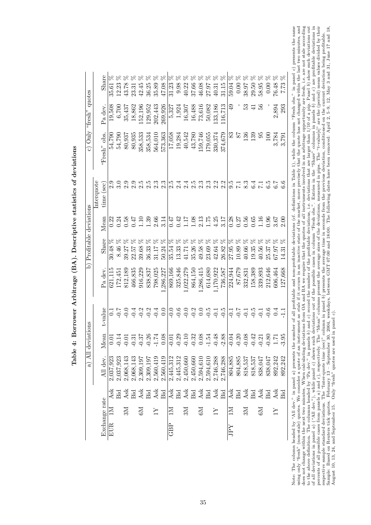| .<br>ו                       |
|------------------------------|
|                              |
|                              |
|                              |
|                              |
| i<br>C<br>C<br>C<br>j        |
|                              |
|                              |
|                              |
|                              |
| ו<br>ו                       |
|                              |
|                              |
|                              |
| l                            |
| י<br>ׇ֚֘֝֬                   |
|                              |
| $\mathfrak{g}$               |
|                              |
|                              |
|                              |
|                              |
| .<br>וְ                      |
|                              |
| ï                            |
|                              |
|                              |
| $5 + 7 - 7 = 0$              |
|                              |
|                              |
|                              |
|                              |
|                              |
|                              |
| ſ                            |
|                              |
|                              |
|                              |
| )<br>District<br>.<br>.<br>. |

|                                |     |           |               |                    |           |                         |             | Interquote       |              |               |                                                                                        |
|--------------------------------|-----|-----------|---------------|--------------------|-----------|-------------------------|-------------|------------------|--------------|---------------|----------------------------------------------------------------------------------------|
| Exchange rate                  |     | All dev.  | Mean          | t-value            | Pa dev.   | Share                   | Mean        | time (sec)       | "Fresh" obs. | Pa dev.       | Share                                                                                  |
| $\Xi$<br>EUR                   | Åsk | 2,037,923 | 0.0           | $\ddot{\circ}$     | 621,115   | 30.48                   |             |                  | 54,790       | 19,508        | 35.61                                                                                  |
|                                | Bid | 2,037,923 | $-0.14$       |                    | 172,451   | $80^{\circ}$<br>8.46    | 0.24        |                  | 54,790       | 6,700         | 12.23                                                                                  |
| ЗM                             | Ask | 2,068,143 | $-0.01$       |                    | 812,189   | 39.27                   | $0.58\,$    |                  | 80,937       | 35,437        | 43.78                                                                                  |
|                                | Bid | 2,068,143 | $-0.31$       | $7042$<br>$-0.042$ | 466,835   | $\approx$<br>22.57      | 7.47        |                  | 80,935       | 18,862        | 23.31                                                                                  |
| $_{\rm N3}$                    | Åsk | 2,309,197 | $-0.37$       |                    | 916,229   | $80^{\circ}$<br>39.68   | 1.10        | 2.5              | 358,533      | 152,196       | $\begin{aligned} \mathcal{R} \; \mathcal{R} \; \mathcal{R} \end{aligned}$<br>42.45     |
|                                | Bid | 2,309,197 | $-0.26$       | $-0.2$             | 838,837   | $\aleph$<br>36.33       | 1.39        | 2.5              | 358,534      | 129,952       | 36.25                                                                                  |
| $\Xi$                          | Ask | 2,560,419 | $-1.74$       | $-0.4$             | 798,025   | $80^{\circ}$<br>31.17   | 2.66        | $2.\overline{3}$ | 564,010      | 202,443       | $8^{\circ}$<br>35.89                                                                   |
|                                | Bid | 2,560,419 | $0.08\,$      | 0.0                | ,286,227  | 8 <sup>o</sup><br>50.24 | 3.14        | 2.3              | 573,363      | 269,926       | $80^{\circ}$<br>47.08'                                                                 |
| $\overline{\mathbb{N}}$<br>GBP | Ask | 2,445,312 | $-0.01$       | $-0.0$             | 869,166   | 35.54 %                 | 7F.0        | 5.<br>2          | 17,058       | 5,327         | 31.23%                                                                                 |
|                                | Bid | 2,445,312 | $-0.29$       | $-0.6$             | 325,846   | $8^{\circ}$<br>13.33    | 0.42        | $\frac{4}{3}$    | 19,284       | 1,924         | R<br>9.98                                                                              |
| 3M                             | Ask | 2,450,660 | $-0.10$       |                    | 1,022,279 | $\%$<br>41.71           | 1.17        | ್.<br>ನ          | 40,542       | 16,307        | $\aleph$<br>40.22                                                                      |
|                                | Bid | 2,450,660 | $-0.32$       |                    | 864,150   | $\gtrsim$<br>35.26      | $1.08\,$    | 2.5              | 43,780       | 16,488        |                                                                                        |
| $_{\rm N3}$                    | Ask | 2,594,610 | $0.08\,$      |                    | .286,415  | $80^{\circ}$<br>49.58   | $2.13$ 1.75 | 2.3              | 159,746      | 73,616        | $\begin{array}{l} 37.66\ \% \\ 46.08\ \% \\ 27.97\ \% \\ \hline 40.31\ \% \end{array}$ |
|                                | Bid | 2,594,610 | $-1.54$       |                    | 614,680   | $\aleph$<br>23.69       |             |                  | 179,055      | 50,082        |                                                                                        |
| $\Xi$                          | Ask | 2,746,288 | $-0.48$       |                    | 1,170,922 | $42.64~\%$              | $4.25$      | $2\ddot{.}$      | 330,374      | 33,186        |                                                                                        |
|                                | Bid | 2,746,288 | $-2.88$       |                    | 736,587   | $80^{\circ}$<br>26.82   | 3.17        | 2.2              | 374,679      | 116,713       | $80^{\circ}$<br>31.15                                                                  |
| $\mathbb{N}$<br>Λdſ            | Ask | 804,885   | $-0.04$       | $-1$               | 224,944   | $\%$<br>27.95           | 0.28        |                  | 83           | $\frac{1}{4}$ | 59.04                                                                                  |
|                                | Bid | 804,885   | $-0.20$       |                    | 87,679    | R<br>10.89              | 0.27        |                  | $^{18}$      |               | $0.00~\%$                                                                              |
| $_{\rm SM}$                    | Ask | 818,537   | $-0.08$       | $-0.1$             | 332,831   | $80^{\circ}$<br>40.66   | 0.56        | 8.3              | 136          | 33            | $\aleph$<br>38.97                                                                      |
|                                | Bid | 818,537   | $-0.42$       | $-0.5$             | 158,389   | $\approx$<br>19.35      | 0.65        | 6.4              | 139          |               | $80^{\circ}$<br>29.50                                                                  |
| $_{\rm N3}$                    | Ask | 838,047   | $-0.21$       | $-0.1$             | 339,893   | R<br>40.56              | 1.16        | ミ                | 95           | 36            | 88<br>$58.95\,$                                                                        |
|                                | Bid | 838,047   | $-0.80$       | $-0.6$             | 212,646   | 25.37                   | 0.96        | 5.<br>0          | $\Xi$        |               | $\aleph$<br>$0.00\,$                                                                   |
| $\Xi$                          | Åsk | 892,242   | $\frac{1}{1}$ | 0.4                | 606,464   | 67.97                   | 3.67        | 6.7              | 3,784        | 2,894         | 76.48                                                                                  |
|                                | Bid | 892,242   | $-3.95$       |                    | 127,668   | $\%$<br>14.31           | 2.00        | 6.6              | 3,791        | 293           | 7.73                                                                                   |

does not change within the next two minutes. When calculating deviations from OA and BA we require that the quotes of all instruments involved in an arbitrage opportunity are fresh, i.e. are not stale according to the abo Alove. The continuum neative by Am trev. In particular the process of the production and interference of the market, more precisely that the quote has not changed within the last two minutes, and using only "fresh" (non-st he same Note: The column headed by "All dev." in panel a) presents the number of all profitable and non-profitable deviations (cf. definitions in Table 1), while the column "Fresh obs." in panel c) presents the same using only "fresh" (non-stale) quotes. We consider a quote of an instrument as stale if it occurs in an inactive state of the market, more precisely that the quote has not changed within the last two minutes, and is free does not change within the next two minutes. When calculating deviations from OA and BA we require that the quotes of all instruments involved in an arbitrage opportunity are fresh, i.e. are not stale according to the above definition. The columns headed by "Pa dev." in panels  $b$ ) and c) record the number of the profitable deviations, i.e. deviations that are larger than 1/10 of a pip. Panel b) show such deviations out of all deviations in panel  $a$ ) ("All dev."), while panel c) shows such deviations out of the possible cases in column "Fresh obs.". Entries in the "Share" columns in panels b) and c) are profitable deviations in percents of all possible cases from panels  $a)$  and c), respectively. The "Mean" columns present the average sizes of the deviations, measured in pips. The "t-value[s]" are the (period) mean values divided by their Sample: Based on Reuters tick quotes. February 13 – September 30, 2004, weekdays, between GMT 07:00 and 18:00. The following dates have been removed: April 2, 5–9, 12, May 3 and 31, June 17 and 18, respective sample standard deviations. The "Inter-quote time (sec)" column in panel b) presents the average time in seconds from the previous deviation, conditioned on the current deviation being profitable. August 10, 13, 24, and September 15. Only "fresh" quotes are used in panel c). Note: The colui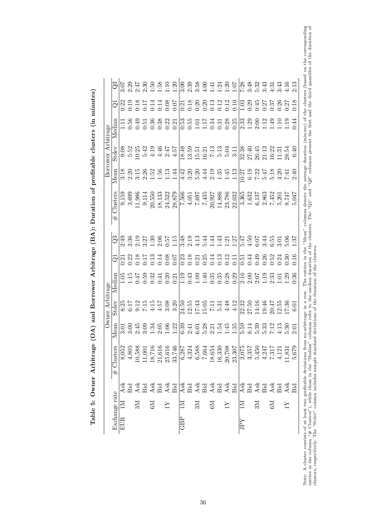|            |                   |                                       | Owner Arbitrage                                                                                                                                                                                                                                                                                               |                                                          |                                          |                                                                                                                                                                                                                                                                                                                                                                 |                                                                                                           |                                                                                 | Borrower Arbitrage                                                                           |                                                                                                                                                                                                                                                                                                                        |                                                                                                        |                                                                                                                                                                                                                                                                                                                                                                                                                                 |
|------------|-------------------|---------------------------------------|---------------------------------------------------------------------------------------------------------------------------------------------------------------------------------------------------------------------------------------------------------------------------------------------------------------|----------------------------------------------------------|------------------------------------------|-----------------------------------------------------------------------------------------------------------------------------------------------------------------------------------------------------------------------------------------------------------------------------------------------------------------------------------------------------------------|-----------------------------------------------------------------------------------------------------------|---------------------------------------------------------------------------------|----------------------------------------------------------------------------------------------|------------------------------------------------------------------------------------------------------------------------------------------------------------------------------------------------------------------------------------------------------------------------------------------------------------------------|--------------------------------------------------------------------------------------------------------|---------------------------------------------------------------------------------------------------------------------------------------------------------------------------------------------------------------------------------------------------------------------------------------------------------------------------------------------------------------------------------------------------------------------------------|
|            | Ø<br>$#$ Cluster  | Mean                                  | Stdev                                                                                                                                                                                                                                                                                                         | Median                                                   | ටි                                       | Q3                                                                                                                                                                                                                                                                                                                                                              | Clusters<br>#                                                                                             | Mean                                                                            | Stdev                                                                                        | Median                                                                                                                                                                                                                                                                                                                 |                                                                                                        | Q3                                                                                                                                                                                                                                                                                                                                                                                                                              |
| Åsk        | 8,052             |                                       |                                                                                                                                                                                                                                                                                                               |                                                          |                                          |                                                                                                                                                                                                                                                                                                                                                                 | 9,159                                                                                                     |                                                                                 |                                                                                              |                                                                                                                                                                                                                                                                                                                        |                                                                                                        |                                                                                                                                                                                                                                                                                                                                                                                                                                 |
| Bid        | $4,805$           |                                       |                                                                                                                                                                                                                                                                                                               | 1914<br>1915<br>1916                                     |                                          |                                                                                                                                                                                                                                                                                                                                                                 |                                                                                                           | $3:30$<br>$3:30$<br>$3:30$<br>$3:32$<br>$1:52$                                  |                                                                                              |                                                                                                                                                                                                                                                                                                                        |                                                                                                        |                                                                                                                                                                                                                                                                                                                                                                                                                                 |
| Ask<br>Bid | 10,588            |                                       |                                                                                                                                                                                                                                                                                                               |                                                          |                                          |                                                                                                                                                                                                                                                                                                                                                                 |                                                                                                           |                                                                                 |                                                                                              |                                                                                                                                                                                                                                                                                                                        |                                                                                                        |                                                                                                                                                                                                                                                                                                                                                                                                                                 |
|            | 11,00             |                                       |                                                                                                                                                                                                                                                                                                               |                                                          |                                          |                                                                                                                                                                                                                                                                                                                                                                 |                                                                                                           |                                                                                 |                                                                                              |                                                                                                                                                                                                                                                                                                                        |                                                                                                        |                                                                                                                                                                                                                                                                                                                                                                                                                                 |
| Ask        | 18,716            |                                       |                                                                                                                                                                                                                                                                                                               |                                                          |                                          |                                                                                                                                                                                                                                                                                                                                                                 |                                                                                                           |                                                                                 |                                                                                              |                                                                                                                                                                                                                                                                                                                        |                                                                                                        |                                                                                                                                                                                                                                                                                                                                                                                                                                 |
| Bid        | 21,61             |                                       |                                                                                                                                                                                                                                                                                                               |                                                          |                                          |                                                                                                                                                                                                                                                                                                                                                                 |                                                                                                           | $1:56$<br>$1:13$                                                                |                                                                                              |                                                                                                                                                                                                                                                                                                                        |                                                                                                        |                                                                                                                                                                                                                                                                                                                                                                                                                                 |
| Ask<br>Bid | 25,616            |                                       |                                                                                                                                                                                                                                                                                                               |                                                          |                                          |                                                                                                                                                                                                                                                                                                                                                                 |                                                                                                           |                                                                                 |                                                                                              |                                                                                                                                                                                                                                                                                                                        |                                                                                                        |                                                                                                                                                                                                                                                                                                                                                                                                                                 |
|            | 33,746            |                                       | $\begin{array}{l} 6.25 \\ 8.17 \\ 6.31 \\ 6.41 \\ 7.19 \\ 8.30 \\ 7.44 \\ 8.30 \\ 8.30 \\ 9.30 \\ 9.30 \\ 9.30 \\ 9.30 \\ 9.30 \\ 9.30 \\ 9.30 \\ 9.30 \\ 9.30 \\ 9.30 \\ 9.30 \\ 9.30 \\ 9.30 \\ 9.30 \\ 9.30 \\ 9.30 \\ 9.30 \\ 9.30 \\ 9.30 \\ 9.30 \\ 9.30 \\ 9.30 \\ 9.30 \\ 9.30 \\ 9.30 \\ 9.30 \\ 9.$ | 3:41<br>0:20<br>0:21                                     | 3:318<br>3:318<br>3:15 3:38<br>3:0:0:0:0 | 2:49<br>3:36<br>2:27<br>1:13<br>2:05<br>1:15                                                                                                                                                                                                                                                                                                                    | $\begin{array}{c} 3,699 \\ 11,986 \\ 9,114 \\ 20,550 \\ 18,133 \\ 24,522 \\ 28,879 \\ \hline \end{array}$ | 1:44                                                                            | $0.08$<br>$0.52$<br>$0.42$<br>$0.44$<br>$0.44$<br>$0.44$<br>$0.44$<br>$0.44$                 | $\frac{11}{11}$ $\frac{16}{5}$ $\frac{9}{5}$ $\frac{9}{5}$ $\frac{5}{5}$ $\frac{8}{5}$ $\frac{8}{5}$ $\frac{8}{5}$ $\frac{8}{5}$ $\frac{8}{5}$ $\frac{8}{5}$ $\frac{8}{5}$ $\frac{8}{5}$ $\frac{8}{5}$ $\frac{8}{5}$ $\frac{8}{5}$ $\frac{8}{5}$ $\frac{8}{5}$ $\frac{8}{5}$ $\frac{8}{5}$ $\frac{8}{5}$ $\frac{8}{5}$ |                                                                                                        | $2:37$<br>$2:37$<br>$1:50$<br>$1:50$<br>$1:20$<br>$1:20$                                                                                                                                                                                                                                                                                                                                                                        |
| Ask        | 6,287             |                                       |                                                                                                                                                                                                                                                                                                               |                                                          |                                          |                                                                                                                                                                                                                                                                                                                                                                 |                                                                                                           |                                                                                 |                                                                                              |                                                                                                                                                                                                                                                                                                                        |                                                                                                        |                                                                                                                                                                                                                                                                                                                                                                                                                                 |
| Bid        | 4,324             |                                       |                                                                                                                                                                                                                                                                                                               | 1133<br>1139<br>1131                                     |                                          |                                                                                                                                                                                                                                                                                                                                                                 |                                                                                                           | $\frac{4}{3}$ :30<br>5:20<br>4:44                                               |                                                                                              |                                                                                                                                                                                                                                                                                                                        |                                                                                                        |                                                                                                                                                                                                                                                                                                                                                                                                                                 |
| Ask<br>Bid | 6,588             |                                       |                                                                                                                                                                                                                                                                                                               |                                                          |                                          |                                                                                                                                                                                                                                                                                                                                                                 |                                                                                                           |                                                                                 |                                                                                              |                                                                                                                                                                                                                                                                                                                        |                                                                                                        |                                                                                                                                                                                                                                                                                                                                                                                                                                 |
|            | 7,664             |                                       | 34:50<br>12:53<br>17:43<br>15:05                                                                                                                                                                                                                                                                              |                                                          |                                          |                                                                                                                                                                                                                                                                                                                                                                 |                                                                                                           |                                                                                 | 18:48<br>13:59<br>15:51<br>16:13<br>5:04<br>5:04                                             |                                                                                                                                                                                                                                                                                                                        |                                                                                                        |                                                                                                                                                                                                                                                                                                                                                                                                                                 |
| Ask<br>Bid | 18,654            |                                       | $7:31$<br>$5:34$<br>$4:12$<br>$4:12$                                                                                                                                                                                                                                                                          |                                                          |                                          |                                                                                                                                                                                                                                                                                                                                                                 |                                                                                                           | $2:19$<br>$1:35$                                                                |                                                                                              |                                                                                                                                                                                                                                                                                                                        |                                                                                                        |                                                                                                                                                                                                                                                                                                                                                                                                                                 |
|            | 16,330            |                                       |                                                                                                                                                                                                                                                                                                               |                                                          |                                          |                                                                                                                                                                                                                                                                                                                                                                 |                                                                                                           |                                                                                 |                                                                                              |                                                                                                                                                                                                                                                                                                                        |                                                                                                        |                                                                                                                                                                                                                                                                                                                                                                                                                                 |
| Ask        | 20,708            |                                       |                                                                                                                                                                                                                                                                                                               |                                                          |                                          |                                                                                                                                                                                                                                                                                                                                                                 |                                                                                                           | 1:45                                                                            |                                                                                              |                                                                                                                                                                                                                                                                                                                        |                                                                                                        |                                                                                                                                                                                                                                                                                                                                                                                                                                 |
| Bid        | 23,307            |                                       |                                                                                                                                                                                                                                                                                                               | $0:35$<br>$0:38$<br>$0:29$                               |                                          | $\frac{33}{33}$<br>$\frac{33}{21}$<br>$\frac{33}{21}$<br>$\frac{33}{21}$<br>$\frac{33}{21}$<br>$\frac{33}{21}$<br>$\frac{33}{21}$<br>$\frac{33}{21}$<br>$\frac{33}{21}$<br>$\frac{33}{21}$<br>$\frac{33}{21}$<br>$\frac{33}{21}$<br>$\frac{33}{21}$<br>$\frac{33}{21}$<br>$\frac{33}{21}$<br>$\frac{33}{21}$<br>$\frac{33}{21}$<br>$\frac{33}{21}$<br>$\frac{3$ | $\begin{array}{c} 4,051 \\ 7,697 \\ 7,435 \\ 20,927 \\ 14,886 \\ 23,786 \\ 22,032 \\ \end{array}$         | 1:13                                                                            | 3:11                                                                                         |                                                                                                                                                                                                                                                                                                                        |                                                                                                        |                                                                                                                                                                                                                                                                                                                                                                                                                                 |
|            | 2,075             |                                       |                                                                                                                                                                                                                                                                                                               |                                                          |                                          |                                                                                                                                                                                                                                                                                                                                                                 | 3,365<br>1,632<br>1,632<br>5,863<br>5,047<br>5,047<br>5,047                                               |                                                                                 |                                                                                              |                                                                                                                                                                                                                                                                                                                        |                                                                                                        |                                                                                                                                                                                                                                                                                                                                                                                                                                 |
| Ask<br>Bid | $3,357$<br>$5,45$ | 1533331336<br>53333133333<br>53332133 | 22:32<br>27:50<br>14:16<br>19:47<br>20:47                                                                                                                                                                                                                                                                     | $2:30$<br>$2:07$<br>$2:33$<br>$2:33$<br>$1:29$<br>$1:29$ | <br>इ.स. १९<br>१९                        |                                                                                                                                                                                                                                                                                                                                                                 |                                                                                                           | $\frac{1}{0.27}$<br>$\frac{23}{0.22}$<br>$\frac{24}{0.27}$<br>$\frac{25}{0.27}$ | $\begin{array}{l} 32.38 \\ 27.40 \\ 26.45 \\ 26.13 \\ 16.21 \\ 13.1 \\ 28.54 \\ \end{array}$ |                                                                                                                                                                                                                                                                                                                        | $\begin{array}{c} 1.03 \\ 0.29 \\ 0.45 \\ 0.37 \\ 0.37 \\ 0.37 \\ 0.37 \\ 0.37 \\ 0.27 \\ \end{array}$ | $\begin{array}{r} \hline \text{28} \\ \text{29} \\ \text{39} \\ \text{49} \\ \text{50} \\ \text{51} \\ \text{52} \\ \text{53} \\ \text{54} \\ \text{55} \\ \text{56} \\ \text{57} \\ \text{58} \\ \text{59} \\ \text{50} \\ \text{51} \\ \text{52} \\ \text{53} \\ \text{54} \\ \text{56} \\ \text{57} \\ \text{58} \\ \text{59} \\ \text{59} \\ \text{50} \\ \text{50} \\ \text{51} \\ \text{52} \\ \text{53} \\ \text{56} \\$ |
| Ask        |                   |                                       |                                                                                                                                                                                                                                                                                                               |                                                          |                                          |                                                                                                                                                                                                                                                                                                                                                                 |                                                                                                           |                                                                                 |                                                                                              |                                                                                                                                                                                                                                                                                                                        |                                                                                                        |                                                                                                                                                                                                                                                                                                                                                                                                                                 |
| Bid        | 4,24              |                                       |                                                                                                                                                                                                                                                                                                               |                                                          |                                          |                                                                                                                                                                                                                                                                                                                                                                 |                                                                                                           |                                                                                 |                                                                                              |                                                                                                                                                                                                                                                                                                                        |                                                                                                        |                                                                                                                                                                                                                                                                                                                                                                                                                                 |
| Ask<br>Bid | 7,317             |                                       |                                                                                                                                                                                                                                                                                                               |                                                          | $3.52$<br>$3.52$<br>$3.52$               |                                                                                                                                                                                                                                                                                                                                                                 |                                                                                                           |                                                                                 |                                                                                              |                                                                                                                                                                                                                                                                                                                        |                                                                                                        |                                                                                                                                                                                                                                                                                                                                                                                                                                 |
|            | 4,12              |                                       | $\frac{12.55}{17.36}$                                                                                                                                                                                                                                                                                         |                                                          |                                          |                                                                                                                                                                                                                                                                                                                                                                 |                                                                                                           | 4:20                                                                            |                                                                                              |                                                                                                                                                                                                                                                                                                                        |                                                                                                        |                                                                                                                                                                                                                                                                                                                                                                                                                                 |
| Åsk        | 1,83              |                                       |                                                                                                                                                                                                                                                                                                               |                                                          |                                          |                                                                                                                                                                                                                                                                                                                                                                 |                                                                                                           | [书:7                                                                            |                                                                                              |                                                                                                                                                                                                                                                                                                                        |                                                                                                        |                                                                                                                                                                                                                                                                                                                                                                                                                                 |
| Вid        | 5,67              | $\overline{0}$ :                      | 6:0                                                                                                                                                                                                                                                                                                           | .36                                                      | 0:16                                     | $\ddot{37}$                                                                                                                                                                                                                                                                                                                                                     |                                                                                                           | 2:40                                                                            | 6:40                                                                                         | $\ddot{=}$                                                                                                                                                                                                                                                                                                             | 0:18                                                                                                   | :13                                                                                                                                                                                                                                                                                                                                                                                                                             |

Table 5: Owner Arbitrage (OA) and Borrower Arbitrage (BA): Duration of profitable clusters (in minutes) Table 5: Owner Arbitrage (OA) and Borrower Arbitrage (BA): Duration of profitable clusters (in minutes) Note: A cluster consists of at least two profitable deviations from no-arbitrage in a row. The entries in the "Mean" columns denote the average duration (min:sec) of the clusters (based on the corresponding entries in the Note: A cluster consists of at least two profitable deviations from no-arbitrage in a row. The entries in the "Mean" columns denote the average duration (min:sec) of the clusters (based on the corresponding entries in the column "# Clusters"), while those in the "Median" columns refer to the median duration of the clusters. The "Q1" and "Q3" columns present the first and the third quantiles of the duration of clusters, respectively. The "Stdev" column includes sample standard deviations of the duration of the clusters.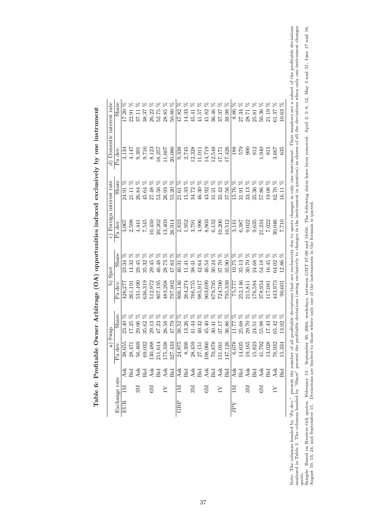|                     |            |            | a) Swap                                                                         |                    | b) Spot                                                            |                                                                                                                                                               | c) Foreign interest rate                              |                                                                                                                         | d) Domestic interest rate                                                          |
|---------------------|------------|------------|---------------------------------------------------------------------------------|--------------------|--------------------------------------------------------------------|---------------------------------------------------------------------------------------------------------------------------------------------------------------|-------------------------------------------------------|-------------------------------------------------------------------------------------------------------------------------|------------------------------------------------------------------------------------|
| Exchange rate       |            | Pa dev.    | Share                                                                           | Pa dev.            | Share                                                              | Pa dev.                                                                                                                                                       | Share                                                 | Pa dev                                                                                                                  | Share                                                                              |
| $\Xi$               | Åsk        | 38,655     | R<br>23.40                                                                      | 426,277            | 23.34                                                              | 3,067                                                                                                                                                         | 24.91                                                 |                                                                                                                         | 17.20 %                                                                            |
|                     | 3id<br>2   | 28,471     | K<br>17.25<br>29.06                                                             | 261,191            |                                                                    |                                                                                                                                                               | 21.11                                                 |                                                                                                                         | 22.91                                                                              |
| SМ                  | Åsk        | 56,469     |                                                                                 | 531,490            | $14.32$<br>29.45                                                   |                                                                                                                                                               | 26.84                                                 |                                                                                                                         | 37.11                                                                              |
|                     | Bid        | 69,032     | 35.62                                                                           | 636,319            | 35.32                                                              | 2,598<br>4,441<br>7,545                                                                                                                                       | $\aleph$<br>45.64                                     | $\begin{array}{c} 3,134 \\ 4,147 \\ 9,391 \\ 9,716 \\ 8,123 \end{array}$                                                | $\begin{array}{c} 38.37 \ \% \\ 26.22 \ \% \\ 52.75 \ \% \end{array}$              |
| Σď                  | Åsk        | 130,488    | $29.13$<br>47.23                                                                | 512,972            | $29.45~\%$                                                         | 10,450                                                                                                                                                        | 8 <sup>o</sup><br>$27.48\,$                           |                                                                                                                         |                                                                                    |
|                     | Bid        | 211,614    | %                                                                               | 807,195            | $46.48~\%$                                                         |                                                                                                                                                               | $\aleph$<br>53.56                                     |                                                                                                                         |                                                                                    |
| Σ                   | Ask        | 175,338    | 26.58 %                                                                         | 483,268            | $28.73~\%$                                                         |                                                                                                                                                               | $\%$<br>26.93                                         |                                                                                                                         | $28.85~\%$                                                                         |
|                     | Bid        | 327,433    | 47.79 %                                                                         | 797,902            | $47.83~\%$                                                         | $\begin{array}{c} 20,262 \\ 13,403 \\ 26,914 \end{array}$                                                                                                     | 55.20 %                                               | $\begin{array}{c} 16,257 \\ 11,607 \\ 20,086 \end{array}$                                                               | $50.80~\%$                                                                         |
| ΣÎ                  | Åsk        | 24,875     | 38.52%                                                                          | 806,146            | R<br>40.31                                                         |                                                                                                                                                               | $\approx$<br>21.61                                    |                                                                                                                         | 47.82 %                                                                            |
|                     | Bid        | 8,398      | $13.26~\%$                                                                      | 264,274            | 8 <sup>o</sup><br>$11.41\,$                                        |                                                                                                                                                               | $\%$<br>$15.33\,$                                     |                                                                                                                         | 8 <sup>o</sup><br>14.33                                                            |
| SМ                  | Ask        | 28,459     | $\%$<br>41.44                                                                   | 766,755            | 38.41                                                              |                                                                                                                                                               | $\%$<br>34.72                                         |                                                                                                                         |                                                                                    |
|                     | Bid        | 27,151     |                                                                                 | 985,917            |                                                                    |                                                                                                                                                               | $\begin{array}{l} 46.30~\% \\ 43.92~\% \end{array}$   |                                                                                                                         |                                                                                    |
| ZБ                  | Ask        | 108,060    |                                                                                 | 903,699            |                                                                    |                                                                                                                                                               |                                                       |                                                                                                                         |                                                                                    |
|                     | Bid        | $70,\!878$ |                                                                                 | 679,795            | $\begin{array}{l} 42.64~\% \\ 46.54~\% \\ 30.24~\% \end{array}$    | $\begin{array}{c} 2,823 \\ 1,952 \\ 1,951 \\ 3,790 \\ 6,303 \\ 6,132 \end{array}$                                                                             | $\%$<br>31.21                                         |                                                                                                                         |                                                                                    |
| Σ                   | Ask        | 151,031    | $\begin{array}{c} 40.32\ \% \\ 45.40\ \% \\ 30.41\ \% \\ 37.17\ \% \end{array}$ | 724,700            | $37.70~\%$                                                         |                                                                                                                                                               | $35.42~\%$                                            |                                                                                                                         | $\begin{array}{l} 45.41\% \\ 41.57\% \\ 41.82\% \\ 41.82\% \\ 36.46\% \end{array}$ |
|                     | Bid        | 147,126    | $36.86~\%$                                                                      | 795,339            | $35.90~\%$                                                         | 10,200<br>10,512                                                                                                                                              | $37.56~\%$                                            | $\begin{array}{r} 9,338 \\ 2,745 \\ 12,328 \\ 11,719 \\ 14,719 \\ 17,171 \\ 17,174 \\ \hline 188 \\ \hline \end{array}$ | $38.98$ $\%$                                                                       |
| ΣÎ                  | Ask        | 6,678      | $11.77~\%$                                                                      | 75,777             | $10.75~\%$                                                         | $\begin{array}{r} \n 3141 \\  \hline\n 6,387 \\  \hline\n 6,387 \\  \hline\n 9,022 \\  \hline\n 21,234 \\  \hline\n 7,022 \\  \hline\n 7,710 \\  \end{array}$ | 15.76 %                                               |                                                                                                                         | 8.86 %                                                                             |
|                     |            | 14,635     | $\%$<br>25.68                                                                   |                    | $35.13~\%$                                                         |                                                                                                                                                               | 8 <sup>o</sup><br>31.91                               | 629                                                                                                                     | 27.34                                                                              |
| 2NI                 | Bid<br>Ask | 19,165     | $29.70%$<br>$24.51%$                                                            | 252,146<br>215,811 | $\begin{array}{l} 30.70\ \% \\ 24.68\ \% \\ 54.18\ \% \end{array}$ |                                                                                                                                                               | $\begin{array}{c} 33.13\ \% \\ 35.36\ \% \end{array}$ | 00 <sub>0</sub>                                                                                                         | $\%$ $\%$<br>$28.71\,$                                                             |
|                     | Bid        | 15,823     |                                                                                 | 176,584            |                                                                    |                                                                                                                                                               |                                                       | 812                                                                                                                     | 25.81                                                                              |
| ZZ                  | Ask        | 1,792      | $55.98$ $\%$                                                                    | 378,954            |                                                                    |                                                                                                                                                               | $\aleph$<br>57.86                                     | 940                                                                                                                     | $50.36\%$<br>21.19 %                                                               |
|                     | Bid        | 13,028     | $17.43~\%$                                                                      | 117,081            | $16.45~\%$                                                         |                                                                                                                                                               | $19.08~\%$                                            | 815                                                                                                                     |                                                                                    |
| $\overline{\Delta}$ | Åsk        | 76,932     | $65.42~\%$                                                                      | 43,973             | 64.02 %                                                            |                                                                                                                                                               | $62.76~\%$                                            | 3,667<br>635                                                                                                            | $61.37~\%$                                                                         |
|                     | Bid        | 15,334     | ×<br>13.02                                                                      | 90,601             | 12.86                                                              |                                                                                                                                                               | $\%$<br>16.11                                         |                                                                                                                         | $10.63\,$                                                                          |

Table 6: Profitable Owner Arbitrage (OA) opportunities induced exclusively by one instrument Table 6: Profitable Owner Arbitrage (OA) opportunities induced exclusively by one instrument Note: The columns headed by "Pa dev." present the number of all profitable deviations that are exclusively due to quote changes in only one instrument. Their numbers are a subset of the profitable deviations analyzed in Ta Note: The columns headed by "Pa dev." present the number of all profitable deviations that are exclusively due to quote changes in only one instrument. Their numbers are a subset of the profitable deviations analyzed in Table 3. The columns headed by "Share" present the profitable deviations (owing exclusively to changes in the instrument in question) as shares of all the deviations when only one instrument changes

quote.<br>Sample: Based on Reuters tick quotes. February 13 – September 30, 2004, weekdays, between GMT 07:00 and 18:00. The following dates have been removed: April 2, 5–9, 12, May 3 and 31, June 17 and 18,<br>August 10, 13, 24 Sample: Based on Reuters tick quotes. February 13 – September 30, 2004, weekdays, between GMT 07:00 and 18:00. The following dates have been removed: April 2, 5–9, 12, May 3 and 31, June 17 and 18, August 10, 13, 24, and September 15. Deviations are limited to those where only one of the instruments in the formula is quoted.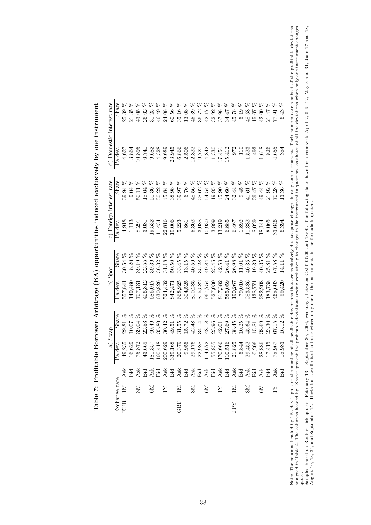| d) Domestic interest rate | Share         | 25.39%            | 21.35                                         | $43.05~\%$  | $26.62$ $\%$                                                  | $31.25~\%$           | $46.49~\%$ | $24.08~\%$                                                | $60.56~\%$ | 35.16 % | $80^{\circ}$<br>13.08 |                        |                     |                                                                       | $\begin{array}{l} 45.39\ \% \\ 36.72\ \% \\ 42.17\ \% \\ 32.92\ \% \end{array}$                | $37.98$ $\%$   | 34.47 %                                        | 45.78 %          | R<br>5.19                  | $48.58~\%$               | 15.67             | $\%$ $\%$<br>42.00      | 21.47                | <b>7.91</b>    | 6.43       |
|---------------------------|---------------|-------------------|-----------------------------------------------|-------------|---------------------------------------------------------------|----------------------|------------|-----------------------------------------------------------|------------|---------|-----------------------|------------------------|---------------------|-----------------------------------------------------------------------|------------------------------------------------------------------------------------------------|----------------|------------------------------------------------|------------------|----------------------------|--------------------------|-------------------|-------------------------|----------------------|----------------|------------|
|                           | Pa dev        |                   |                                               |             | $4,627$<br>$3,864$<br>$3,895$<br>$6,741$<br>$6,62$<br>$9,682$ |                      |            | $\frac{14,328}{9,689}$<br>23,945                          |            |         |                       |                        |                     |                                                                       | $\begin{array}{c} 6,866 \\ 2,506 \\ 12,322 \\ 9,727 \\ 14,842 \\ 11,330 \\ 17,451 \end{array}$ |                | 15,412                                         | $\overline{972}$ | $110$                      | 1,523                    |                   | $493$<br>$1,618$<br>826 |                      | 1,655<br>384   |            |
| c) Foreign interest rate  | Share         | $\aleph$<br>39.94 | $8^{\circ}$<br>9.04                           | 50.11       | R<br>18.64                                                    | $8^{\circ}$<br>51.36 | 30.22      | $8^{\circ}$<br>45.84                                      | 38.98 %    | 39.97 % | $6.76~\%$             | 48.56 %                | $28.62%$<br>54.54 % |                                                                       | $19.85~\%$                                                                                     | $45.90~\%$     | $24.60~\%$                                     | 32.44 %          | $8^{\circ}$<br>9.45        | $8^{\circ}$<br>$41.61\,$ | $\aleph$<br>29.47 | $\aleph$<br>49.44       | $8^{\circ}$<br>21.92 | 70.28          | R<br>13.36 |
|                           | Pa dev.       |                   | $\begin{array}{c} 4,918 \\ 1,113 \end{array}$ | 8,291       | 3,081                                                         | .9,532               |            | $\begin{array}{c} 11,434 \\ 22,816 \\ 19,006 \end{array}$ |            | 5,223   |                       |                        |                     |                                                                       | $\begin{array}{c} 861 \\ 5,302 \\ 3,088 \\ 10,930 \\ 10,930 \\ 3,899 \\ 13,219 \end{array}$    |                | $\frac{6,885}{6,467}$ 1,892<br>1,892<br>11,332 |                  |                            |                          | 8,029             | 18,144                  | 8,065                | 33,646         | 6,394      |
|                           | Share         | 30.54             | $\phantom{0}8.20$                             | 39.19       | 22.55                                                         | 39.39                | 36.32      | $31.18~\%$                                                | 50.50%     | 33.45%  | $13.15~\%$            | $\gtrsim$<br>$40.59\,$ |                     | $\begin{array}{c} 35.28\ \% \\ 49.84\ \% \\ 23.45\ \% \end{array}$    |                                                                                                | $42.53~\%$     | $26.41~\%$                                     | 26.98 %          | $\gtrsim$<br>$11.01$       | 8 <sup>o</sup><br>40.35  | $\aleph$<br>19.39 | $\%$<br>40.35           | 25.81                | 67.58          | 11         |
| b) Spot                   | Pa dev.       | 557,84            | 149,480                                       |             | 406,312                                                       | 686,017              | 630,826    | 524,432                                                   | 842,471    | 668,925 | 304,525               | 810,285                | 815,582             | 967,754                                                               | 527,030                                                                                        | 817,382        | 585,059                                        | 190,267          | 79,010                     | 283,586                  | 138,771           | 282,208                 | 183,738              | 168,603        | 99,420     |
|                           | Share         | ೫<br>29.81        | ೫<br>$10.07$                                  | K<br>39.04  | $22.53~\%$                                                    | $40.49~\%$           | $35.80~\%$ | $30.42~\%$                                                | 49.51 %    | 31.55%  | $15.72~\%$            | 42.48%                 |                     | $\begin{array}{l} 34.14 \ \% \\ 48.18 \ \% \\ 23.96 \ \% \end{array}$ |                                                                                                | $42.01~\%$     | $27.69~\%$                                     | 38.45 %          | $\%$<br>10.25 <sup>1</sup> | 45.64 %                  | $\%$<br>15.81     | $38.69~\%$              | 23.30%               | $67.15~\%$     | K<br>16.12 |
| a) Swap                   | Pa dev.       | 49,235            | 16,629                                        | 75,872      | 43,669                                                        | 181,357              | 160,418    | 200,629                                                   | 339,168    | 20,379  | 9,955                 | 29,176                 | 22,988              | 114,672                                                               | 55,855                                                                                         | 170,666        | .10,516                                        | 21,825           | 5,844                      | 29,452                   | 10,206            | 28,886                  | 17,415               | 78,967         | 18,983     |
|                           |               | Åsk               | Зid                                           | Åsk         | Зid                                                           | Ask                  | Bid        | Ask                                                       | Bid        | Åsk     | Бid                   | Åsk                    | Бid                 | Ask                                                                   | <b>Bid</b>                                                                                     | Ask            | Bid                                            | Åsk              | Зid                        | Åsk                      | Вid               | Åsk                     | Зid                  | Åsk            | Bid        |
|                           | Exchange rate | $\Xi$             |                                               | $_{\rm SN}$ |                                                               | Σď                   |            | Σ                                                         |            | ΣÎ      |                       | $_{\rm SN}$            |                     | ZБ                                                                    |                                                                                                | $\overline{Y}$ |                                                | Σ                |                            | $\mathbb{N}$             |                   | ZБ                      |                      | $\overline{Y}$ |            |
|                           |               | <b>EUR</b>        |                                               |             |                                                               |                      |            |                                                           |            | GBP     |                       |                        |                     |                                                                       |                                                                                                |                |                                                | <b>Adf</b>       |                            |                          |                   |                         |                      |                |            |

Table 7: Profitable Borrower Arbitrage (BA) opportunities induced exclusively by one instrument Table 7: Profitable Borrower Arbitrage (BA) opportunities induced exclusively by one instrument Note: The columns headed by "Pa dev." present the number of all profitable deviations that are exclusively due to quote changes in only one instrument. Their numbers are a subset of the profitable deviations analyzed in Ta Note: The columns headed by "Pa dev." present the number of all profitable deviations that are exclusively due to quote changes in only one instrument. Their numbers are a subset of the profitable deviations analyzed in Table 4. The columns headed by "Share" present the profitable deviations (owing exclusively to changes in the instrument in question) as shares of all the deviations when only one instrument changes

quote.<br>Sample: Based on Reuters tick quotes. February 13 – September 30, 2004, weekdays, between GMT 07:00 and 18:00. The following dates have been removed: April 2, 5–9, 12, May 3 and 31, June 17 and 18,<br>August 10, 13, 24 Sample: Based on Reuters tick quotes. February 13 – September 30, 2004, weekdays, between GMT 07:00 and 18:00. The following dates have been removed: April 2, 5–9, 12, May 3 and 31, June 17 and 18, August 10, 13, 24, and September 15. Deviations are limited to those where only one of the instruments in the formula is quoted.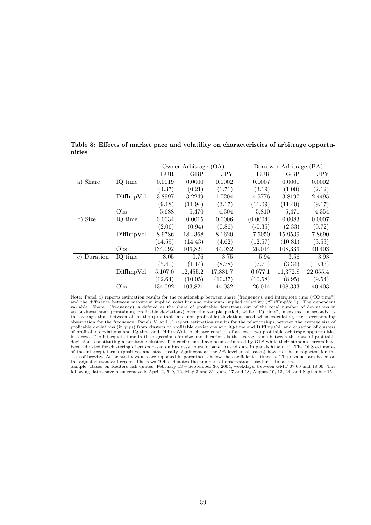|             |            | Owner Arbitrage (OA) |          |          | (BA)<br>Borrower Arbitrage |          |          |
|-------------|------------|----------------------|----------|----------|----------------------------|----------|----------|
|             |            | EUR                  | GBP      | JPY      | EUR                        | GBP      | JPY      |
| a) Share    | IQ time    | 0.0019               | 0.0000   | 0.0002   | 0.0007                     | 0.0001   | 0.0002   |
|             |            | (4.37)               | (0.21)   | (1.71)   | (3.19)                     | (1.00)   | (2.12)   |
|             | DiffImpVol | 3.8997               | 3.2249   | 1.7204   | 4.5776                     | 3.8197   | 2.4495   |
|             |            | (9.18)               | (11.94)  | (3.17)   | (11.09)                    | (11.40)  | (9.17)   |
|             | Obs        | 5,688                | 5,470    | 4,304    | 5,810                      | 5,471    | 4,354    |
| b) Size     | IQ time    | 0.0034               | 0.0015   | 0.0006   | (0.0004)                   | 0.0083   | 0.0007   |
|             |            | (2.06)               | (0.94)   | (0.86)   | $(-0.35)$                  | (2.33)   | (0.72)   |
|             | DiffImpVol | 8.9786               | 18.4368  | 8.1620   | 7.5050                     | 15.9539  | 7.8690   |
|             |            | (14.59)              | (14.43)  | (4.62)   | (12.57)                    | (10.81)  | (3.53)   |
|             | Obs        | 134,092              | 103,821  | 44,032   | 126,014                    | 108,333  | 40,403   |
| c) Duration | IQ time    | 8.05                 | 0.76     | 3.75     | 5.94                       | 3.56     | 3.93     |
|             |            | (5.41)               | (1.14)   | (8.78)   | (7.71)                     | (3.34)   | (10.33)  |
|             | DiffImpVol | 5,107.0              | 12,455.2 | 17,881.7 | 6,077.1                    | 11,372.8 | 22,655.4 |
|             |            | (12.64)              | (10.05)  | (10.37)  | (10.58)                    | (8.95)   | (9.54)   |
|             | Obs        | 134,092              | 103,821  | 44,032   | 126,014                    | 108,333  | 40,403   |

Table 8: Effects of market pace and volatility on characteristics of arbitrage opportunities

Note: Panel a) reports estimation results for the relationship between share (frequency), and interquote time ("IQ time") and the difference between maximum implied volatility and minimum implied volatility ("DiffImpVol"). The dependent variable "Share" (frequency) is defined as the share of profitable deviations out of the total number of deviations in an business hour (containing profitable deviations) over the sample period, while "IQ time", measured in seconds, is<br>the average time between all of the (profitable and non-profitable) deviations used when calculating the observation for the frequency. Panels  $\overrightarrow{b}$ ) and c) report estimation results for the relationships between the average size of profitable deviations (in pips) from clusters of profitable deviations and IQ-time and DiffImpVol, and duration of clusters of profitable deviations and IQ-time and DiffImpVol. A cluster consists of at least two profitable arbitrage opportunities in a row. The interquote time in the regressions for size and durations is the average time between the rows of profitable<br>deviations constituting a profitable cluster. The coefficients have been estimated by OLS while the been adjusted for clustering of errors based on business hours in panel a) and date in panels b) and c). The OLS estimates of the intercept terms (positive, and statistically significant at the 5% level in all cases) have not been reported for the sake of brevity. Associated t-values are reported in parenthesis below the coefficient estimates. The t-values are based on the adjusted standard errors. The rows "Obs" denotes the numbers of observations used in estimation.

Sample: Based on Reuters tick quotes. February 13 – September 30, 2004, weekdays, between GMT 07:00 and 18:00. The<br>following dates have been removed: April 2, 5–9, 12, May 3 and 31, June 17 and 18, August 10, 13, 24, and S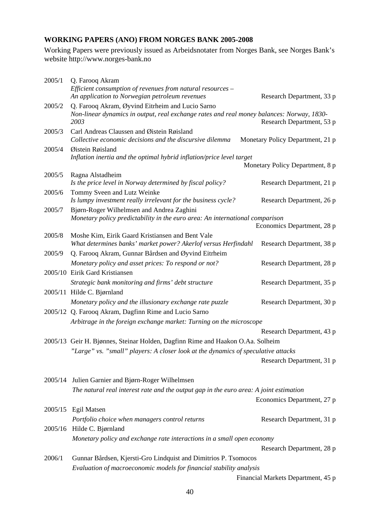# **WORKING PAPERS (ANO) FROM NORGES BANK 2005-2008**

Working Papers were previously issued as Arbeidsnotater from Norges Bank, see Norges Bank's website http://www.norges-bank.no

| 2005/1 | Q. Farooq Akram<br>Efficient consumption of revenues from natural resources -<br>An application to Norwegian petroleum revenues | Research Department, 33 p          |  |  |  |
|--------|---------------------------------------------------------------------------------------------------------------------------------|------------------------------------|--|--|--|
| 2005/2 | Q. Farooq Akram, Øyvind Eitrheim and Lucio Sarno                                                                                |                                    |  |  |  |
|        | Non-linear dynamics in output, real exchange rates and real money balances: Norway, 1830-<br>2003                               | Research Department, 53 p          |  |  |  |
| 2005/3 | Carl Andreas Claussen and Øistein Røisland<br>Collective economic decisions and the discursive dilemma                          | Monetary Policy Department, 21 p   |  |  |  |
| 2005/4 | Øistein Røisland                                                                                                                |                                    |  |  |  |
|        | Inflation inertia and the optimal hybrid inflation/price level target                                                           | Monetary Policy Department, 8 p    |  |  |  |
|        |                                                                                                                                 |                                    |  |  |  |
| 2005/5 | Ragna Alstadheim<br>Is the price level in Norway determined by fiscal policy?                                                   | Research Department, 21 p          |  |  |  |
| 2005/6 | Tommy Sveen and Lutz Weinke                                                                                                     |                                    |  |  |  |
|        | Is lumpy investment really irrelevant for the business cycle?                                                                   | Research Department, 26 p          |  |  |  |
| 2005/7 | Bjørn-Roger Wilhelmsen and Andrea Zaghini                                                                                       |                                    |  |  |  |
|        | Monetary policy predictability in the euro area: An international comparison                                                    | Economics Department, 28 p         |  |  |  |
|        |                                                                                                                                 |                                    |  |  |  |
| 2005/8 | Moshe Kim, Eirik Gaard Kristiansen and Bent Vale<br>What determines banks' market power? Akerlof versus Herfindahl              | Research Department, 38 p          |  |  |  |
| 2005/9 | Q. Farooq Akram, Gunnar Bårdsen and Øyvind Eitrheim                                                                             |                                    |  |  |  |
|        | Monetary policy and asset prices: To respond or not?                                                                            | Research Department, 28 p          |  |  |  |
|        | 2005/10 Eirik Gard Kristiansen                                                                                                  |                                    |  |  |  |
|        | Strategic bank monitoring and firms' debt structure                                                                             | Research Department, 35 p          |  |  |  |
|        | 2005/11 Hilde C. Bjørnland                                                                                                      |                                    |  |  |  |
|        | Monetary policy and the illusionary exchange rate puzzle                                                                        | Research Department, 30 p          |  |  |  |
|        | 2005/12 Q. Farooq Akram, Dagfinn Rime and Lucio Sarno                                                                           |                                    |  |  |  |
|        | Arbitrage in the foreign exchange market: Turning on the microscope                                                             |                                    |  |  |  |
|        |                                                                                                                                 | Research Department, 43 p          |  |  |  |
|        | 2005/13 Geir H. Bjønnes, Steinar Holden, Dagfinn Rime and Haakon O.Aa. Solheim                                                  |                                    |  |  |  |
|        | "Large" vs. "small" players: A closer look at the dynamics of speculative attacks                                               |                                    |  |  |  |
|        |                                                                                                                                 | Research Department, 31 p          |  |  |  |
|        | 2005/14 Julien Garnier and Bjørn-Roger Wilhelmsen                                                                               |                                    |  |  |  |
|        | The natural real interest rate and the output gap in the euro area: A joint estimation                                          |                                    |  |  |  |
|        |                                                                                                                                 | Economics Department, 27 p         |  |  |  |
|        | 2005/15 Egil Matsen                                                                                                             |                                    |  |  |  |
|        | Portfolio choice when managers control returns                                                                                  | Research Department, 31 p          |  |  |  |
|        | 2005/16 Hilde C. Bjørnland                                                                                                      |                                    |  |  |  |
|        | Monetary policy and exchange rate interactions in a small open economy                                                          |                                    |  |  |  |
|        |                                                                                                                                 | Research Department, 28 p          |  |  |  |
| 2006/1 | Gunnar Bårdsen, Kjersti-Gro Lindquist and Dimitrios P. Tsomocos                                                                 |                                    |  |  |  |
|        | Evaluation of macroeconomic models for financial stability analysis                                                             |                                    |  |  |  |
|        |                                                                                                                                 | Financial Markets Department, 45 p |  |  |  |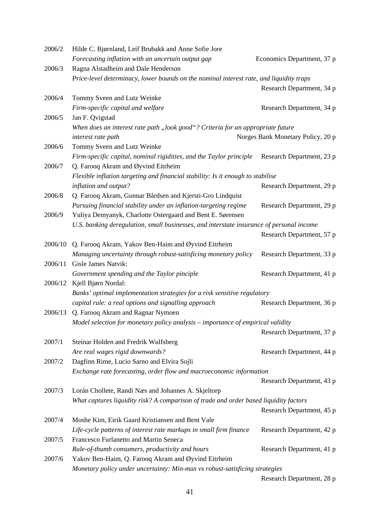| 2006/2  | Hilde C. Bjørnland, Leif Brubakk and Anne Sofie Jore                                     |                                   |  |  |  |  |
|---------|------------------------------------------------------------------------------------------|-----------------------------------|--|--|--|--|
|         | Forecasting inflation with an uncertain output gap                                       | Economics Department, 37 p        |  |  |  |  |
| 2006/3  | Ragna Alstadheim and Dale Henderson                                                      |                                   |  |  |  |  |
|         | Price-level determinacy, lower bounds on the nominal interest rate, and liquidity traps  |                                   |  |  |  |  |
|         |                                                                                          | Research Department, 34 p         |  |  |  |  |
| 2006/4  | Tommy Sveen and Lutz Weinke                                                              |                                   |  |  |  |  |
|         | Firm-specific capital and welfare                                                        | Research Department, 34 p         |  |  |  |  |
| 2006/5  | Jan F. Qvigstad                                                                          |                                   |  |  |  |  |
|         | When does an interest rate path "look good"? Criteria for an appropriate future          |                                   |  |  |  |  |
|         | interest rate path                                                                       | Norges Bank Monetary Policy, 20 p |  |  |  |  |
| 2006/6  | Tommy Sveen and Lutz Weinke                                                              |                                   |  |  |  |  |
|         | Firm-specific capital, nominal rigidities, and the Taylor principle                      | Research Department, 23 p         |  |  |  |  |
| 2006/7  | Q. Farooq Akram and Øyvind Eitrheim                                                      |                                   |  |  |  |  |
|         | Flexible inflation targeting and financial stability: Is it enough to stabilise          |                                   |  |  |  |  |
|         | inflation and output?                                                                    | Research Department, 29 p         |  |  |  |  |
| 2006/8  | Q. Farooq Akram, Gunnar Bårdsen and Kjersti-Gro Lindquist                                |                                   |  |  |  |  |
|         | Pursuing financial stability under an inflation-targeting regime                         | Research Department, 29 p         |  |  |  |  |
| 2006/9  | Yuliya Demyanyk, Charlotte Ostergaard and Bent E. Sørensen                               |                                   |  |  |  |  |
|         | U.S. banking deregulation, small businesses, and interstate insurance of personal income |                                   |  |  |  |  |
|         |                                                                                          | Research Department, 57 p         |  |  |  |  |
| 2006/10 | Q. Farooq Akram, Yakov Ben-Haim and Øyvind Eitrheim                                      |                                   |  |  |  |  |
|         | Managing uncertainty through robust-satisficing monetary policy                          | Research Department, 33 p         |  |  |  |  |
| 2006/11 | Gisle James Natvik:                                                                      |                                   |  |  |  |  |
|         | Government spending and the Taylor pinciple                                              | Research Department, 41 p         |  |  |  |  |
| 2006/12 | Kjell Bjørn Nordal:                                                                      |                                   |  |  |  |  |
|         | Banks' optimal implementation strategies for a risk sensitive regulatory                 |                                   |  |  |  |  |
|         | capital rule: a real options and signalling approach                                     | Research Department, 36 p         |  |  |  |  |
| 2006/13 | Q. Farooq Akram and Ragnar Nymoen                                                        |                                   |  |  |  |  |
|         | Model selection for monetary policy analysis - importance of empirical validity          |                                   |  |  |  |  |
|         |                                                                                          | Research Department, 37 p         |  |  |  |  |
| 2007/1  | Steinar Holden and Fredrik Wulfsberg                                                     |                                   |  |  |  |  |
|         | Are real wages rigid downwards?                                                          | Research Department, 44 p         |  |  |  |  |
| 2007/2  | Dagfinn Rime, Lucio Sarno and Elvira Sojli                                               |                                   |  |  |  |  |
|         | Exchange rate forecasting, order flow and macroeconomic information                      |                                   |  |  |  |  |
|         |                                                                                          | Research Department, 43 p         |  |  |  |  |
| 2007/3  | Lorán Chollete, Randi Næs and Johannes A. Skjeltorp                                      |                                   |  |  |  |  |
|         | What captures liquidity risk? A comparison of trade and order based liquidity factors    |                                   |  |  |  |  |
|         |                                                                                          | Research Department, 45 p         |  |  |  |  |
| 2007/4  | Moshe Kim, Eirik Gaard Kristiansen and Bent Vale                                         |                                   |  |  |  |  |
|         | Life-cycle patterns of interest rate markups in small firm finance                       | Research Department, 42 p         |  |  |  |  |
| 2007/5  | Francesco Furlanetto and Martin Seneca                                                   |                                   |  |  |  |  |
|         | Rule-of-thumb consumers, productivity and hours                                          | Research Department, 41 p         |  |  |  |  |
| 2007/6  | Yakov Ben-Haim, Q. Farooq Akram and Øyvind Eitrheim                                      |                                   |  |  |  |  |
|         | Monetary policy under uncertainty: Min-max vs robust-satisficing strategies              |                                   |  |  |  |  |
|         |                                                                                          | Research Department, 28 p         |  |  |  |  |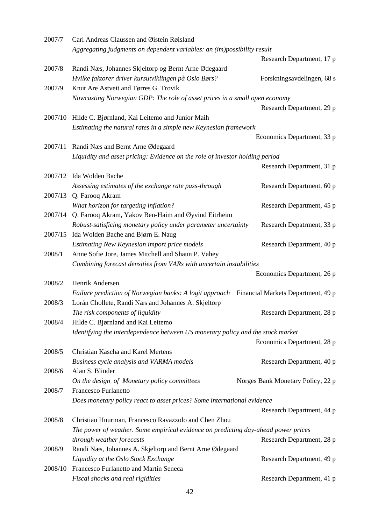| 2007/7  | Carl Andreas Claussen and Øistein Røisland                                                 |                                   |  |  |  |
|---------|--------------------------------------------------------------------------------------------|-----------------------------------|--|--|--|
|         | Aggregating judgments on dependent variables: an (im)possibility result                    |                                   |  |  |  |
|         |                                                                                            | Research Department, 17 p         |  |  |  |
| 2007/8  | Randi Næs, Johannes Skjeltorp og Bernt Arne Ødegaard                                       |                                   |  |  |  |
|         | Hvilke faktorer driver kursutviklingen på Oslo Børs?                                       | Forskningsavdelingen, 68 s        |  |  |  |
| 2007/9  | Knut Are Astveit and Tørres G. Trovik                                                      |                                   |  |  |  |
|         | Nowcasting Norwegian GDP: The role of asset prices in a small open economy                 |                                   |  |  |  |
|         |                                                                                            | Research Department, 29 p         |  |  |  |
| 2007/10 | Hilde C. Bjørnland, Kai Leitemo and Junior Maih                                            |                                   |  |  |  |
|         | Estimating the natural rates in a simple new Keynesian framework                           |                                   |  |  |  |
|         |                                                                                            | Economics Department, 33 p        |  |  |  |
| 2007/11 | Randi Næs and Bernt Arne Ødegaard                                                          |                                   |  |  |  |
|         | Liquidity and asset pricing: Evidence on the role of investor holding period               |                                   |  |  |  |
|         |                                                                                            | Research Department, 31 p         |  |  |  |
|         | 2007/12 Ida Wolden Bache                                                                   |                                   |  |  |  |
|         | Assessing estimates of the exchange rate pass-through                                      | Research Department, 60 p         |  |  |  |
|         | 2007/13 Q. Farooq Akram                                                                    |                                   |  |  |  |
|         | What horizon for targeting inflation?                                                      | Research Department, 45 p         |  |  |  |
| 2007/14 | Q. Farooq Akram, Yakov Ben-Haim and Øyvind Eitrheim                                        |                                   |  |  |  |
|         | Robust-satisficing monetary policy under parameter uncertainty                             | Research Depatrment, 33 p         |  |  |  |
| 2007/15 |                                                                                            |                                   |  |  |  |
|         | Ida Wolden Bache and Bjørn E. Naug                                                         |                                   |  |  |  |
|         | Estimating New Keynesian import price models                                               | Research Department, 40 p         |  |  |  |
| 2008/1  | Anne Sofie Jore, James Mitchell and Shaun P. Vahey                                         |                                   |  |  |  |
|         | Combining forecast densities from VARs with uncertain instabilities                        |                                   |  |  |  |
|         |                                                                                            | Economics Department, 26 p        |  |  |  |
| 2008/2  | Henrik Andersen                                                                            |                                   |  |  |  |
|         | Failure prediction of Norwegian banks: A logit approach Financial Markets Department, 49 p |                                   |  |  |  |
| 2008/3  | Lorán Chollete, Randi Næs and Johannes A. Skjeltorp                                        |                                   |  |  |  |
|         | The risk components of liquidity                                                           | Research Department, 28 p         |  |  |  |
| 2008/4  | Hilde C. Bjørnland and Kai Leitemo                                                         |                                   |  |  |  |
|         | Identifying the interdependence between US monetary policy and the stock market            |                                   |  |  |  |
|         |                                                                                            | Economics Department, 28 p        |  |  |  |
| 2008/5  | Christian Kascha and Karel Mertens                                                         |                                   |  |  |  |
|         | Business cycle analysis and VARMA models                                                   | Research Department, 40 p         |  |  |  |
| 2008/6  | Alan S. Blinder                                                                            |                                   |  |  |  |
|         | On the design of Monetary policy committees                                                | Norges Bank Monetary Policy, 22 p |  |  |  |
| 2008/7  | <b>Francesco Furlanetto</b>                                                                |                                   |  |  |  |
|         | Does monetary policy react to asset prices? Some international evidence                    |                                   |  |  |  |
|         |                                                                                            | Research Department, 44 p         |  |  |  |
| 2008/8  | Christian Huurman, Francesco Ravazzolo and Chen Zhou                                       |                                   |  |  |  |
|         | The power of weather. Some empirical evidence on predicting day-ahead power prices         |                                   |  |  |  |
|         | through weather forecasts                                                                  | Research Department, 28 p         |  |  |  |
| 2008/9  | Randi Næs, Johannes A. Skjeltorp and Bernt Arne Ødegaard                                   |                                   |  |  |  |
|         | Liquidity at the Oslo Stock Exchange                                                       | Research Department, 49 p         |  |  |  |
| 2008/10 | Francesco Furlanetto and Martin Seneca                                                     |                                   |  |  |  |
|         | Fiscal shocks and real rigidities                                                          | Research Department, 41 p         |  |  |  |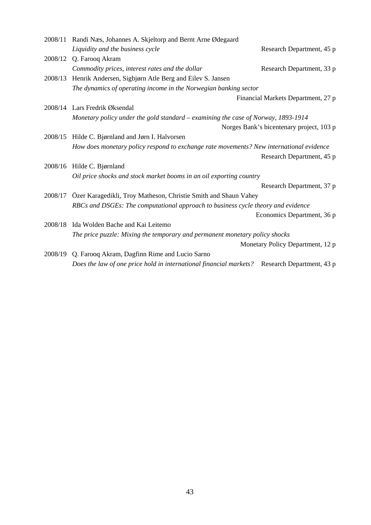| 2008/11 | Randi Næs, Johannes A. Skjeltorp and Bernt Arne Ødegaard                                |                                          |  |  |  |
|---------|-----------------------------------------------------------------------------------------|------------------------------------------|--|--|--|
|         | Liquidity and the business cycle                                                        | Research Department, 45 p                |  |  |  |
| 2008/12 | Q. Farooq Akram                                                                         |                                          |  |  |  |
|         | Commodity prices, interest rates and the dollar                                         | Research Department, 33 p                |  |  |  |
| 2008/13 | Henrik Andersen, Sigbjørn Atle Berg and Eilev S. Jansen                                 |                                          |  |  |  |
|         | The dynamics of operating income in the Norwegian banking sector                        |                                          |  |  |  |
|         |                                                                                         | Financial Markets Department, 27 p       |  |  |  |
|         | 2008/14 Lars Fredrik Øksendal                                                           |                                          |  |  |  |
|         | Monetary policy under the gold standard - examining the case of Norway, 1893-1914       |                                          |  |  |  |
|         |                                                                                         | Norges Bank's bicentenary project, 103 p |  |  |  |
| 2008/15 | Hilde C. Bjørnland and Jørn I. Halvorsen                                                |                                          |  |  |  |
|         | How does monetary policy respond to exchange rate movements? New international evidence |                                          |  |  |  |
|         |                                                                                         | Research Department, 45 p                |  |  |  |
|         | 2008/16 Hilde C. Bjørnland                                                              |                                          |  |  |  |
|         | Oil price shocks and stock market booms in an oil exporting country                     |                                          |  |  |  |
|         |                                                                                         | Research Department, 37 p                |  |  |  |
| 2008/17 | Özer Karagedikli, Troy Matheson, Christie Smith and Shaun Vahey                         |                                          |  |  |  |
|         | RBCs and DSGEs: The computational approach to business cycle theory and evidence        |                                          |  |  |  |
|         |                                                                                         | Economics Department, 36 p               |  |  |  |
| 2008/18 | Ida Wolden Bache and Kai Leitemo                                                        |                                          |  |  |  |
|         | The price puzzle: Mixing the temporary and permanent monetary policy shocks             |                                          |  |  |  |
|         |                                                                                         | Monetary Policy Department, 12 p         |  |  |  |
| 2008/19 | Q. Farooq Akram, Dagfinn Rime and Lucio Sarno                                           |                                          |  |  |  |
|         | Does the law of one price hold in international financial markets?                      | Research Department, 43 p                |  |  |  |